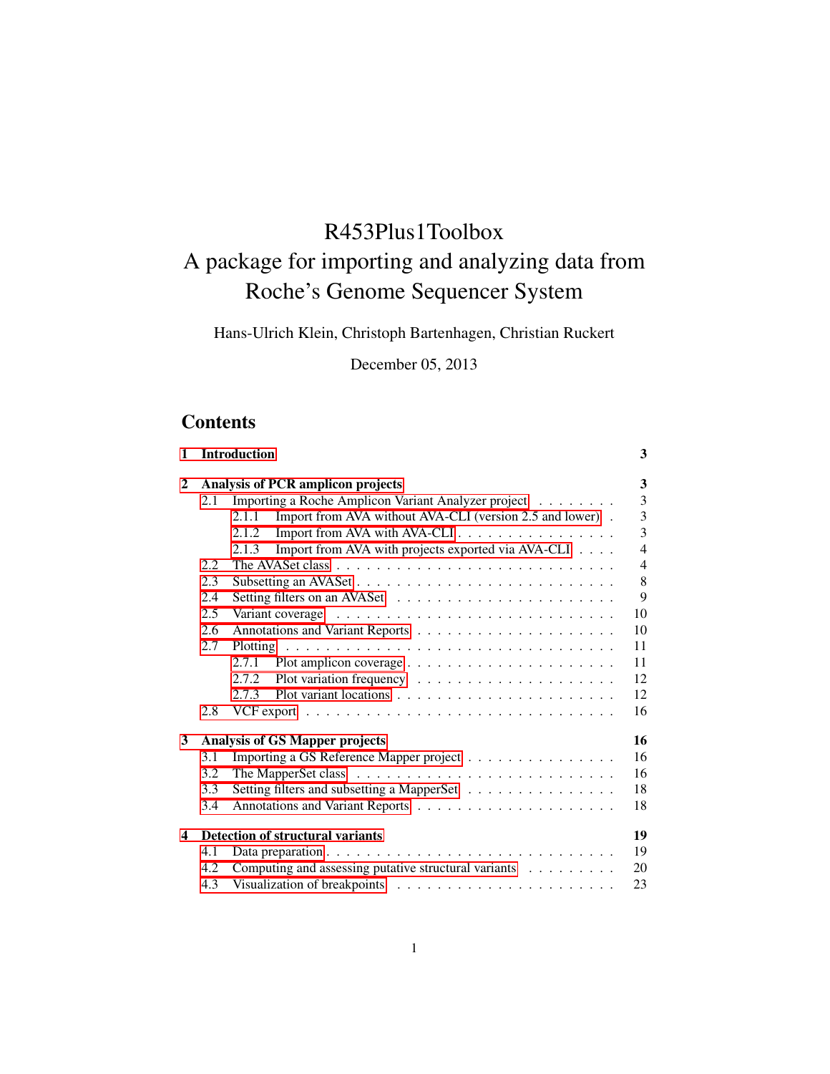# R453Plus1Toolbox A package for importing and analyzing data from Roche's Genome Sequencer System

Hans-Ulrich Klein, Christoph Bartenhagen, Christian Ruckert

December 05, 2013

# **Contents**

| 1 |     | <b>Introduction</b>                                               | 3              |
|---|-----|-------------------------------------------------------------------|----------------|
| 2 |     | <b>Analysis of PCR amplicon projects</b>                          | 3              |
|   | 2.1 | Importing a Roche Amplicon Variant Analyzer project               | 3              |
|   |     | Import from AVA without AVA-CLI (version 2.5 and lower).<br>2.1.1 | 3              |
|   |     | Import from AVA with AVA-CLI<br>2.1.2                             | 3              |
|   |     | Import from AVA with projects exported via AVA-CLI<br>2.1.3       | $\overline{4}$ |
|   | 2.2 |                                                                   | $\overline{4}$ |
|   | 2.3 |                                                                   | 8              |
|   | 2.4 |                                                                   | 9              |
|   | 2.5 |                                                                   | 10             |
|   | 2.6 |                                                                   | 10             |
|   | 2.7 |                                                                   | 11             |
|   |     |                                                                   | 11             |
|   |     |                                                                   | 12             |
|   |     | 2.7.3                                                             | 12             |
|   | 2.8 |                                                                   | 16             |
| 3 |     | <b>Analysis of GS Mapper projects</b>                             | 16             |
|   | 3.1 | Importing a GS Reference Mapper project                           | 16             |
|   | 3.2 |                                                                   | 16             |
|   | 3.3 | Setting filters and subsetting a MapperSet                        | 18             |
|   | 3.4 |                                                                   | 18             |
| 4 |     | Detection of structural variants                                  | 19             |
|   | 4.1 |                                                                   | 19             |
|   | 4.2 | Computing and assessing putative structural variants              | 20             |
|   | 4.3 |                                                                   | 23             |
|   |     |                                                                   |                |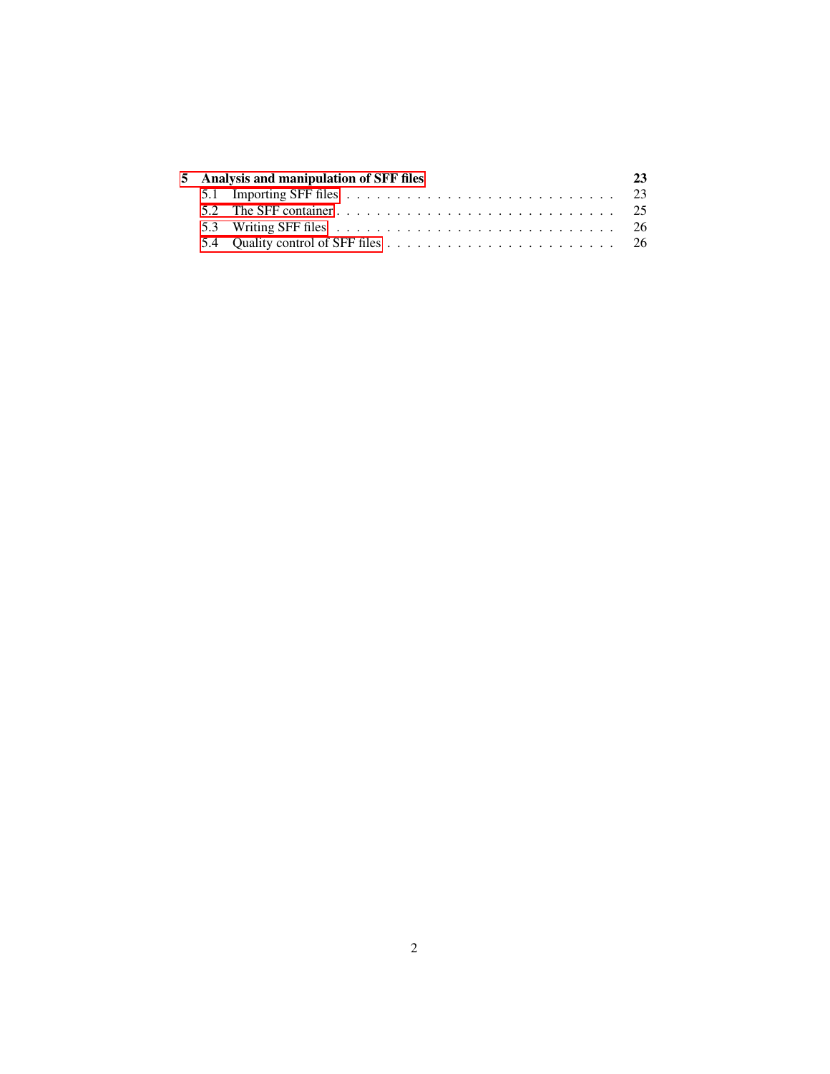|  | 5 Analysis and manipulation of SFF files | 23 |
|--|------------------------------------------|----|
|  |                                          |    |
|  |                                          |    |
|  |                                          |    |
|  |                                          |    |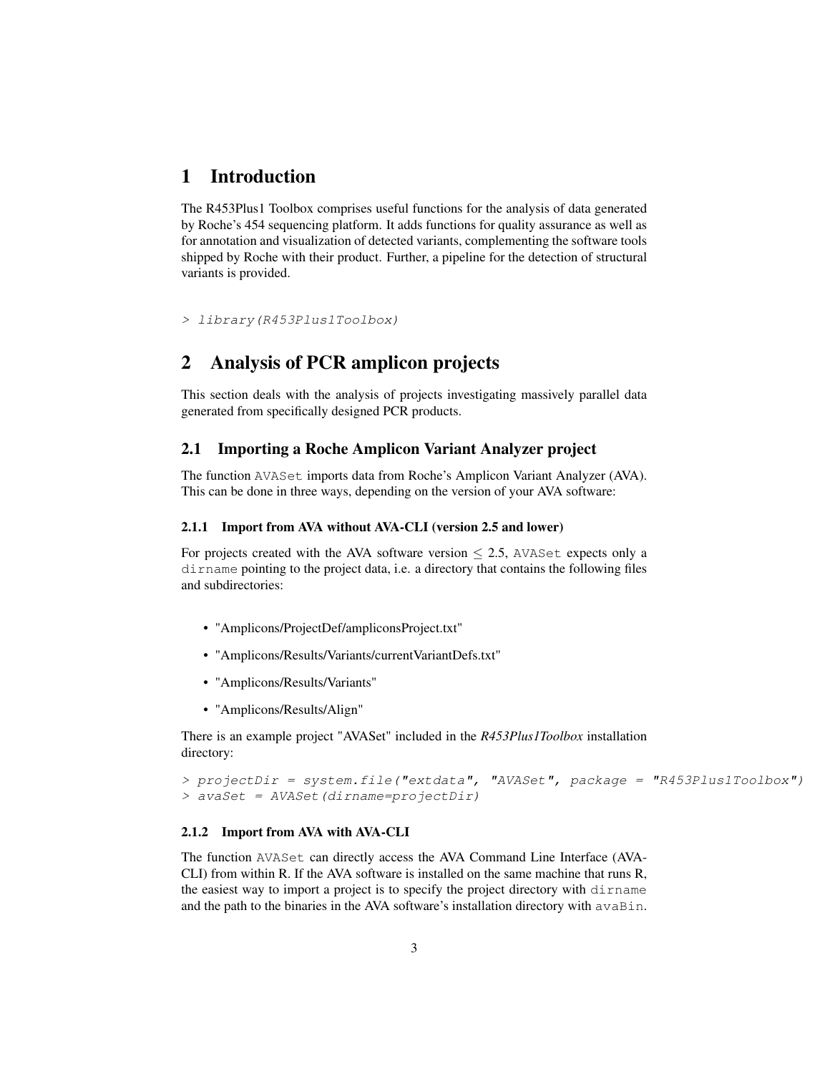### <span id="page-2-0"></span>1 Introduction

The R453Plus1 Toolbox comprises useful functions for the analysis of data generated by Roche's 454 sequencing platform. It adds functions for quality assurance as well as for annotation and visualization of detected variants, complementing the software tools shipped by Roche with their product. Further, a pipeline for the detection of structural variants is provided.

> library(R453Plus1Toolbox)

# <span id="page-2-1"></span>2 Analysis of PCR amplicon projects

This section deals with the analysis of projects investigating massively parallel data generated from specifically designed PCR products.

#### <span id="page-2-2"></span>2.1 Importing a Roche Amplicon Variant Analyzer project

The function AVASet imports data from Roche's Amplicon Variant Analyzer (AVA). This can be done in three ways, depending on the version of your AVA software:

#### <span id="page-2-3"></span>2.1.1 Import from AVA without AVA-CLI (version 2.5 and lower)

For projects created with the AVA software version  $\leq$  2.5, AVASet expects only a dirname pointing to the project data, i.e. a directory that contains the following files and subdirectories:

- "Amplicons/ProjectDef/ampliconsProject.txt"
- "Amplicons/Results/Variants/currentVariantDefs.txt"
- "Amplicons/Results/Variants"
- "Amplicons/Results/Align"

There is an example project "AVASet" included in the *R453Plus1Toolbox* installation directory:

```
> projectDir = system.file("extdata", "AVASet", package = "R453Plus1Toolbox")
> avaSet = AVASet(dirname=projectDir)
```
#### <span id="page-2-4"></span>2.1.2 Import from AVA with AVA-CLI

The function AVASet can directly access the AVA Command Line Interface (AVA-CLI) from within R. If the AVA software is installed on the same machine that runs R, the easiest way to import a project is to specify the project directory with dirname and the path to the binaries in the AVA software's installation directory with  $a\vee aBin$ .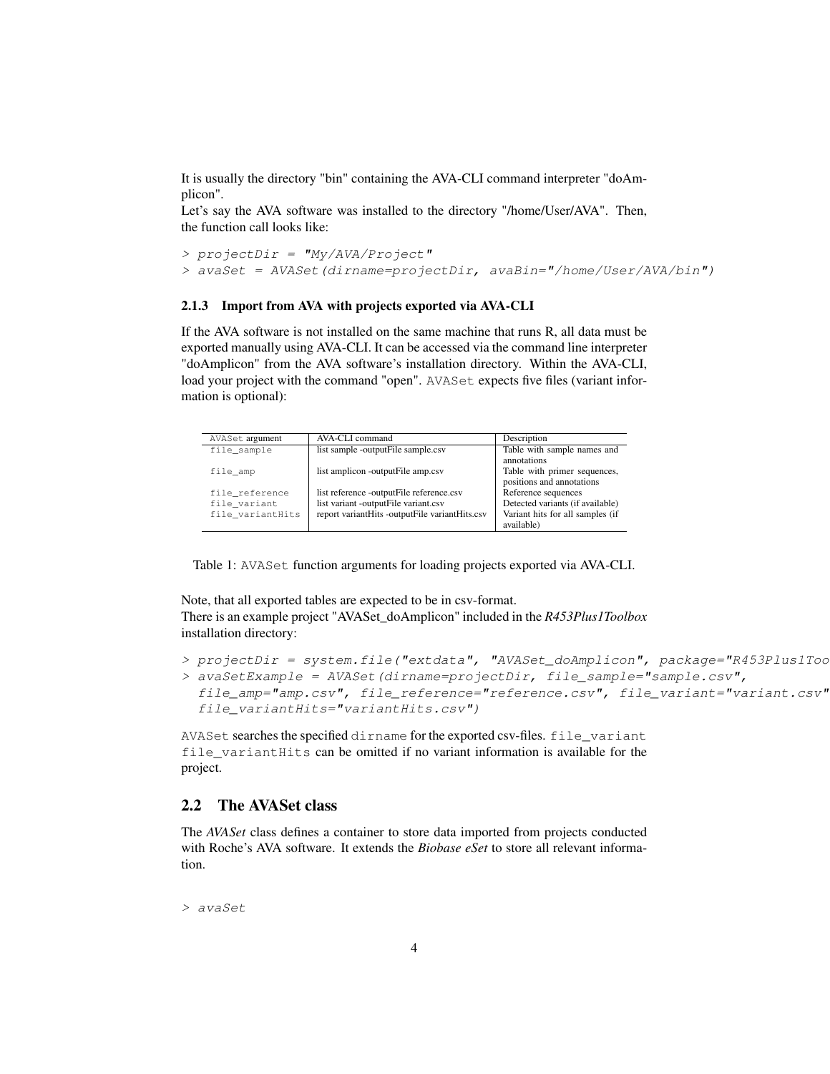It is usually the directory "bin" containing the AVA-CLI command interpreter "doAmplicon".

Let's say the AVA software was installed to the directory "/home/User/AVA". Then, the function call looks like:

```
> projectDir = "My/AVA/Project"
> avaSet = AVASet(dirname=projectDir, avaBin="/home/User/AVA/bin")
```
#### <span id="page-3-0"></span>2.1.3 Import from AVA with projects exported via AVA-CLI

If the AVA software is not installed on the same machine that runs R, all data must be exported manually using AVA-CLI. It can be accessed via the command line interpreter "doAmplicon" from the AVA software's installation directory. Within the AVA-CLI, load your project with the command "open". AVASet expects five files (variant information is optional):

| AVASet argument  | AVA-CLI command                                | Description                                               |
|------------------|------------------------------------------------|-----------------------------------------------------------|
| file sample      | list sample -outputFile sample.csv             | Table with sample names and<br>annotations                |
| file amp         | list amplicon -outputFile amp.csv              | Table with primer sequences,<br>positions and annotations |
| file reference   | list reference -outputFile reference.csv       | Reference sequences                                       |
| file variant     | list variant -outputFile variant.csv           | Detected variants (if available)                          |
| file variantHits | report variantHits -outputFile variantHits.csv | Variant hits for all samples (if<br>available)            |

Table 1: AVASet function arguments for loading projects exported via AVA-CLI.

Note, that all exported tables are expected to be in csv-format. There is an example project "AVASet\_doAmplicon" included in the *R453Plus1Toolbox* installation directory:

```
> projectDir = system.file("extdata", "AVASet_doAmplicon", package="R453Plus1Too
> avaSetExample = AVASet(dirname=projectDir, file_sample="sample.csv",
 file_amp="amp.csv", file_reference="reference.csv", file_variant="variant.csv"
 file_variantHits="variantHits.csv")
```
AVASet searches the specified dirname for the exported csv-files. file\_variant file\_variantHits can be omitted if no variant information is available for the project.

#### <span id="page-3-1"></span>2.2 The AVASet class

The *AVASet* class defines a container to store data imported from projects conducted with Roche's AVA software. It extends the *Biobase eSet* to store all relevant information.

> avaSet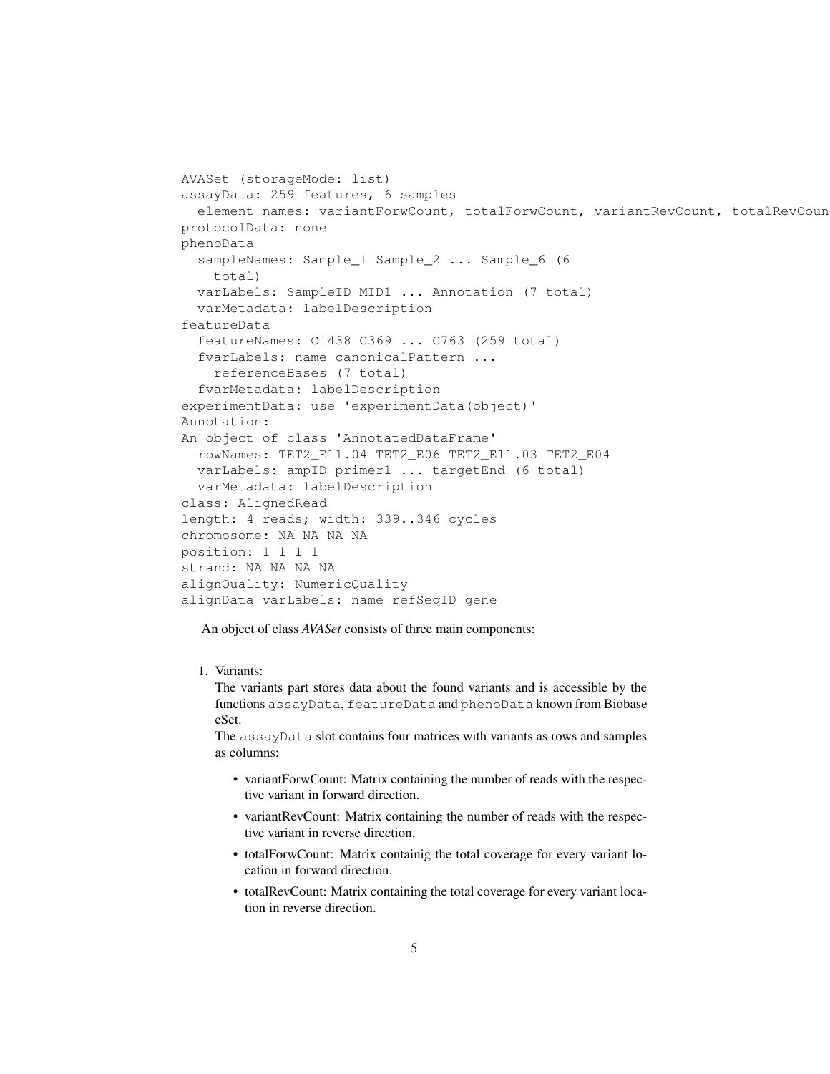```
AVASet (storageMode: list)
assayData: 259 features, 6 samples
  element names: variantForwCount, totalForwCount, variantRevCount, totalRevCoun
protocolData: none
phenoData
  sampleNames: Sample_1 Sample_2 ... Sample_6 (6
    total)
 varLabels: SampleID MID1 ... Annotation (7 total)
  varMetadata: labelDescription
featureData
  featureNames: C1438 C369 ... C763 (259 total)
  fvarLabels: name canonicalPattern ...
    referenceBases (7 total)
  fvarMetadata: labelDescription
experimentData: use 'experimentData(object)'
Annotation:
An object of class 'AnnotatedDataFrame'
 rowNames: TET2_E11.04 TET2_E06 TET2_E11.03 TET2_E04
 varLabels: ampID primer1 ... targetEnd (6 total)
 varMetadata: labelDescription
class: AlignedRead
length: 4 reads; width: 339..346 cycles
chromosome: NA NA NA NA
position: 1 1 1 1
strand: NA NA NA NA
alignQuality: NumericQuality
alignData varLabels: name refSeqID gene
```
An object of class *AVASet* consists of three main components:

#### 1. Variants:

The variants part stores data about the found variants and is accessible by the functions assayData, featureData and phenoData known from Biobase eSet.

The assayData slot contains four matrices with variants as rows and samples as columns:

- variantForwCount: Matrix containing the number of reads with the respective variant in forward direction.
- variantRevCount: Matrix containing the number of reads with the respective variant in reverse direction.
- totalForwCount: Matrix containig the total coverage for every variant location in forward direction.
- totalRevCount: Matrix containing the total coverage for every variant location in reverse direction.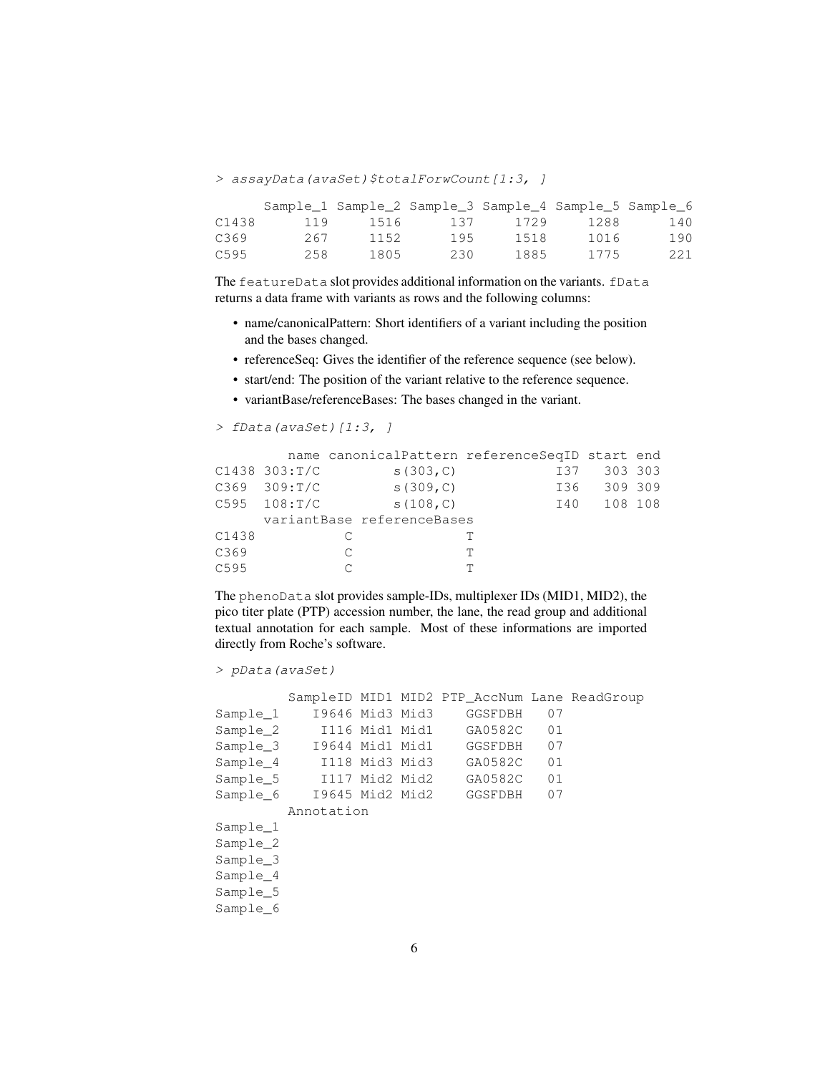> assayData(avaSet)\$totalForwCount[1:3, ]

|       |     | Sample_1 Sample_2 Sample_3 Sample_4 Sample_5 Sample_6 |     |      |      |     |
|-------|-----|-------------------------------------------------------|-----|------|------|-----|
| C1438 | 119 | 1516                                                  | 137 | 1729 | 1288 | 140 |
| C369  | 267 | 1152                                                  | 195 | 1518 | 1016 | 190 |
| C595  | 258 | 1805                                                  | 230 | 1885 | 1775 | 221 |

The featureData slot provides additional information on the variants. fData returns a data frame with variants as rows and the following columns:

- name/canonicalPattern: Short identifiers of a variant including the position and the bases changed.
- referenceSeq: Gives the identifier of the reference sequence (see below).
- start/end: The position of the variant relative to the reference sequence.
- variantBase/referenceBases: The bases changed in the variant.

> fData(avaSet)[1:3, ]

|       |               |                            | name canonicalPattern referenceSeqID start end |             |  |
|-------|---------------|----------------------------|------------------------------------------------|-------------|--|
|       | C1438 303:T/C | s(303, C)                  | I37                                            | 303 303     |  |
|       | C369 309:T/C  | S(309,C)                   |                                                | 136 309 309 |  |
|       | C595 108: T/C | s(108,C)                   |                                                | 140 108 108 |  |
|       |               | variantBase referenceBases |                                                |             |  |
| C1438 |               |                            |                                                |             |  |
| C369  |               | C                          | T                                              |             |  |
| C595  |               |                            | T                                              |             |  |

The phenoData slot provides sample-IDs, multiplexer IDs (MID1, MID2), the pico titer plate (PTP) accession number, the lane, the read group and additional textual annotation for each sample. Most of these informations are imported directly from Roche's software.

```
> pData(avaSet)
```

|          |                          |                | SampleID MID1 MID2 PTP AccNum Lane ReadGroup |    |  |
|----------|--------------------------|----------------|----------------------------------------------|----|--|
| Sample 1 | 19646 Mid3 Mid3          |                | GGSFDBH                                      | 07 |  |
| Sample_2 |                          | I116 Mid1 Mid1 | GA0582C                                      | 01 |  |
|          | Sample_3 19644 Mid1 Mid1 |                | GGSFDBH                                      | 07 |  |
|          |                          |                | Sample_4 I118 Mid3 Mid3 GA0582C              | 01 |  |
|          | Sample 5 I117 Mid2 Mid2  |                | GA0582C                                      | 01 |  |
|          | Sample 6 19645 Mid2 Mid2 |                | GGSFDBH                                      | 07 |  |
|          | Annotation               |                |                                              |    |  |
| Sample 1 |                          |                |                                              |    |  |
| Sample 2 |                          |                |                                              |    |  |
| Sample 3 |                          |                |                                              |    |  |
| Sample 4 |                          |                |                                              |    |  |
| Sample 5 |                          |                |                                              |    |  |
| Sample 6 |                          |                |                                              |    |  |
|          |                          |                |                                              |    |  |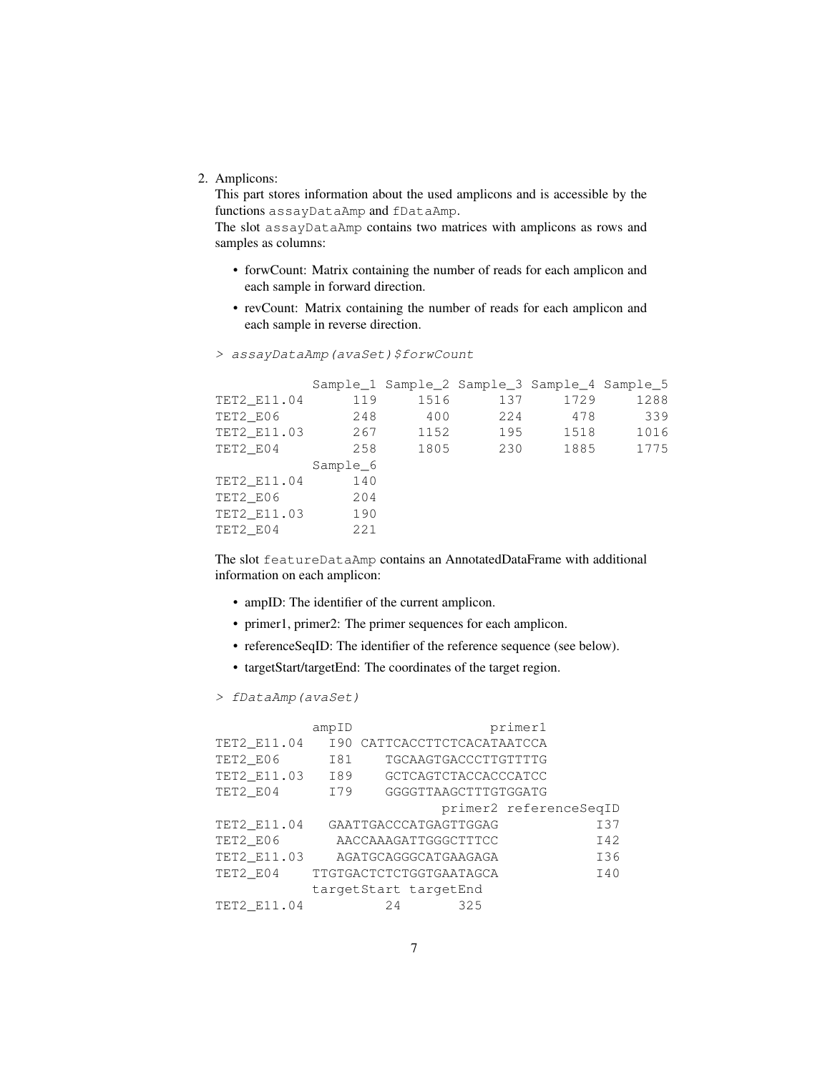2. Amplicons:

This part stores information about the used amplicons and is accessible by the functions assayDataAmp and fDataAmp.

The slot assayDataAmp contains two matrices with amplicons as rows and samples as columns:

- forwCount: Matrix containing the number of reads for each amplicon and each sample in forward direction.
- revCount: Matrix containing the number of reads for each amplicon and each sample in reverse direction.

|             |          | Sample 1 Sample 2 Sample 3 Sample 4 Sample 5 |      |      |      |
|-------------|----------|----------------------------------------------|------|------|------|
| TET2 E11.04 | 119      | 1516                                         | 137  | 1729 | 1288 |
| TET2_E06    | 248      | 400                                          | 22.4 | 478  | 339  |
| TET2_E11.03 | 267      | 1152                                         | 195  | 1518 | 1016 |
| TET2 E04    | 258      | 1805                                         | 230  | 1885 | 1775 |
|             | Sample 6 |                                              |      |      |      |
| TET2 E11.04 | 140      |                                              |      |      |      |
| TET2 E06    | 204      |                                              |      |      |      |
| TET2 E11.03 | 190      |                                              |      |      |      |
| TET2 E04    | 221      |                                              |      |      |      |

> assayDataAmp(avaSet)\$forwCount

The slot featureDataAmp contains an AnnotatedDataFrame with additional information on each amplicon:

- ampID: The identifier of the current amplicon.
- primer1, primer2: The primer sequences for each amplicon.
- referenceSeqID: The identifier of the reference sequence (see below).
- targetStart/targetEnd: The coordinates of the target region.

> fDataAmp(avaSet)

|             | ampID |     |                         | primer1                |     |
|-------------|-------|-----|-------------------------|------------------------|-----|
| TET2 E11.04 | I90   |     | CATTCACCTTCTCACATAATCCA |                        |     |
| TET2 E06    | I81   |     | TGCAAGTGACCCTTGTTTTG    |                        |     |
| TET2_E11.03 | I89   |     | GCTCAGTCTACCACCCATCC    |                        |     |
| TET2 E04    | I79   |     | GGGGTTAAGCTTTGTGGATG    |                        |     |
|             |       |     |                         | primer2 referenceSeqID |     |
| TET2 E11.04 |       |     | GAATTGACCCATGAGTTGGAG   |                        | I37 |
| TET2_E06    |       |     | AACCAAAGATTGGGCTTTCC    |                        | I42 |
| TET2 E11.03 |       |     | AGATGCAGGGCATGAAGAGA    |                        | I36 |
| TET2 E04    |       |     | TTGTGACTCTCTGGTGAATAGCA |                        | I40 |
|             |       |     | targetStart targetEnd   |                        |     |
| TET2 E11.04 |       | 2.4 | 325                     |                        |     |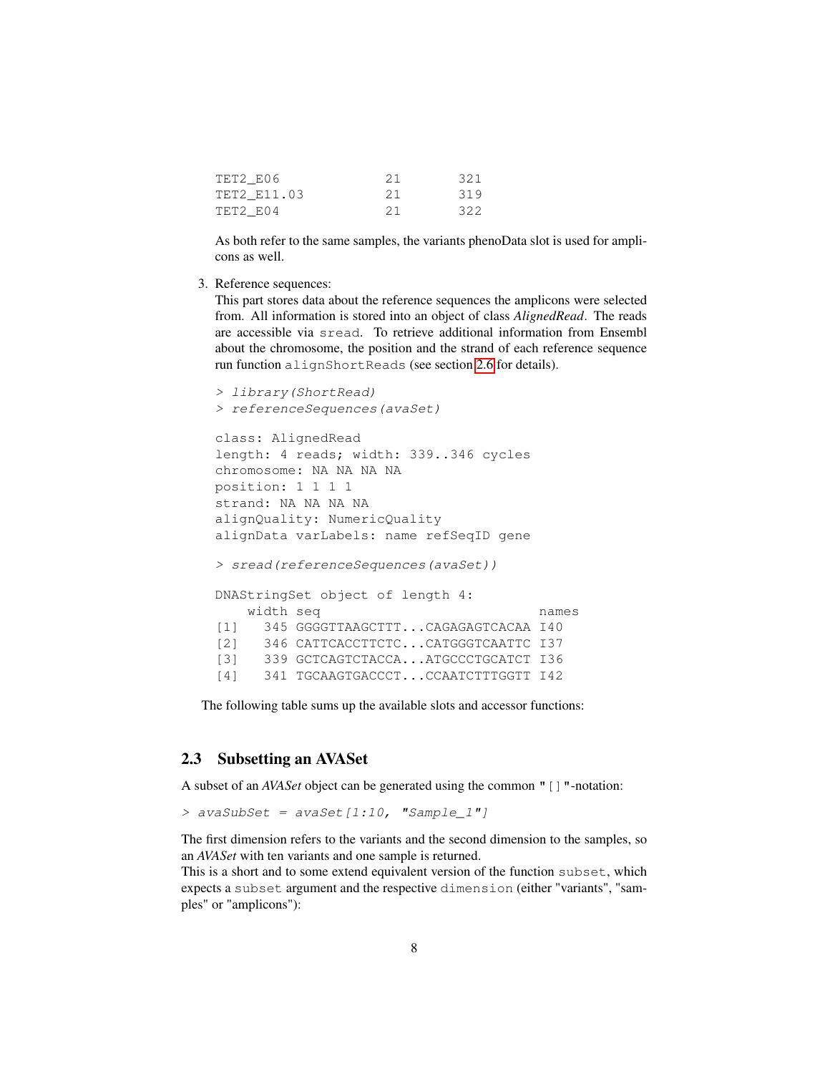| TET2 E06    | -21 | 321 |
|-------------|-----|-----|
| TET2 E11.03 | -21 | 319 |
| TET2 E04    | 21  | 322 |

As both refer to the same samples, the variants phenoData slot is used for amplicons as well.

3. Reference sequences:

This part stores data about the reference sequences the amplicons were selected from. All information is stored into an object of class *AlignedRead*. The reads are accessible via sread. To retrieve additional information from Ensembl about the chromosome, the position and the strand of each reference sequence run function alignShortReads (see section [2.6](#page-9-1) for details).

```
> library(ShortRead)
> referenceSequences(avaSet)
class: AlignedRead
length: 4 reads; width: 339..346 cycles
chromosome: NA NA NA NA
position: 1 1 1 1
strand: NA NA NA NA
alignQuality: NumericQuality
alignData varLabels: name refSeqID gene
> sread(referenceSequences(avaSet))
DNAStringSet object of length 4:
   width seq names
[1] 345 GGGGTTAAGCTTT...CAGAGAGTCACAA I40
[2] 346 CATTCACCTTCTC...CATGGGTCAATTC I37
[3] 339 GCTCAGTCTACCA...ATGCCCTGCATCT 136
[4] 341 TGCAAGTGACCCT...CCAATCTTTGGTT I42
```
The following table sums up the available slots and accessor functions:

#### <span id="page-7-0"></span>2.3 Subsetting an AVASet

A subset of an *AVASet* object can be generated using the common "[]"-notation:

> avaSubSet = avaSet[1:10, "Sample\_1"]

The first dimension refers to the variants and the second dimension to the samples, so an *AVASet* with ten variants and one sample is returned.

This is a short and to some extend equivalent version of the function subset, which expects a subset argument and the respective dimension (either "variants", "samples" or "amplicons"):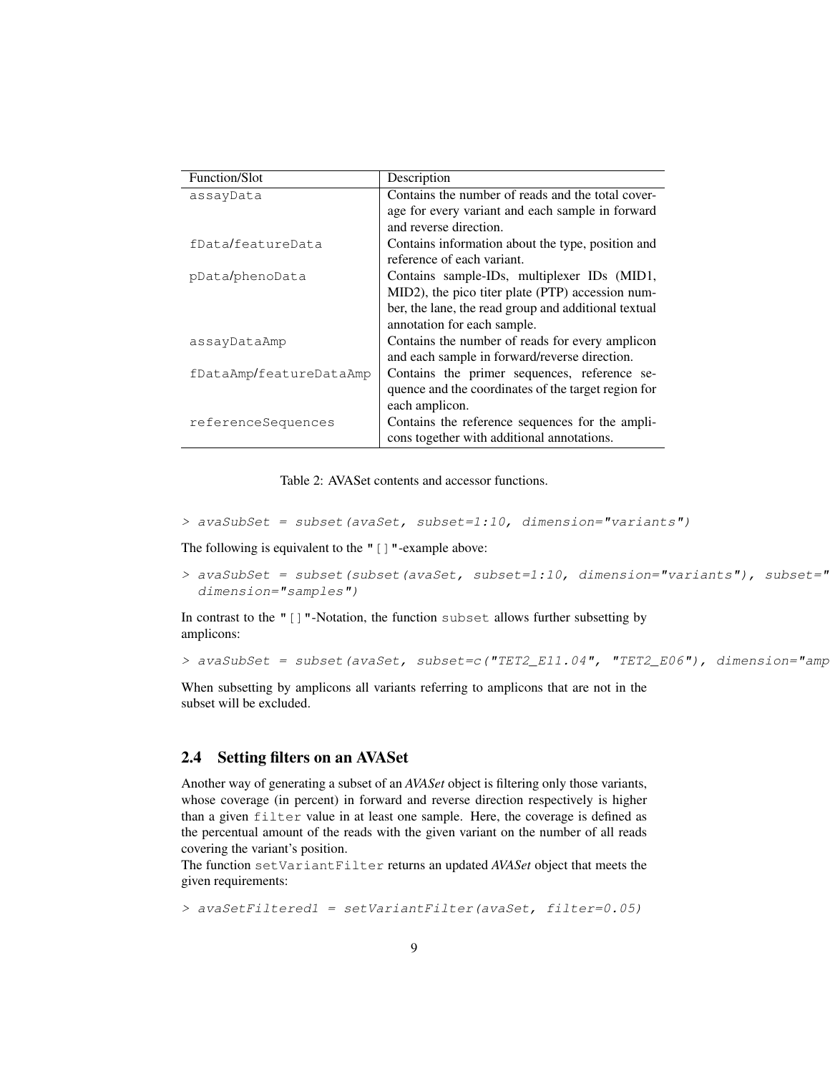| Function/Slot           | Description                                          |  |  |
|-------------------------|------------------------------------------------------|--|--|
| assayData               | Contains the number of reads and the total cover-    |  |  |
|                         | age for every variant and each sample in forward     |  |  |
|                         | and reverse direction.                               |  |  |
| fData/featureData       | Contains information about the type, position and    |  |  |
|                         | reference of each variant.                           |  |  |
| pData/phenoData         | Contains sample-IDs, multiplexer IDs (MID1,          |  |  |
|                         | MID2), the pico titer plate (PTP) accession num-     |  |  |
|                         | ber, the lane, the read group and additional textual |  |  |
|                         | annotation for each sample.                          |  |  |
| assayDataAmp            | Contains the number of reads for every amplicon      |  |  |
|                         | and each sample in forward/reverse direction.        |  |  |
| fDataAmp/featureDataAmp | Contains the primer sequences, reference se-         |  |  |
|                         | quence and the coordinates of the target region for  |  |  |
|                         | each amplicon.                                       |  |  |
| referenceSequences      | Contains the reference sequences for the ampli-      |  |  |
|                         | cons together with additional annotations.           |  |  |

Table 2: AVASet contents and accessor functions.

```
> avaSubSet = subset(avaSet, subset=1:10, dimension="variants")
```
The following is equivalent to the " [] "-example above:

```
> avaSubSet = subset(subset(avaSet, subset=1:10, dimension="variants"), subset="
 dimension="samples")
```
In contrast to the "[]"-Notation, the function subset allows further subsetting by amplicons:

```
> avaSubSet = subset(avaSet, subset=c("TET2_E11.04", "TET2_E06"), dimension="amp
```
When subsetting by amplicons all variants referring to amplicons that are not in the subset will be excluded.

#### <span id="page-8-0"></span>2.4 Setting filters on an AVASet

Another way of generating a subset of an *AVASet* object is filtering only those variants, whose coverage (in percent) in forward and reverse direction respectively is higher than a given filter value in at least one sample. Here, the coverage is defined as the percentual amount of the reads with the given variant on the number of all reads covering the variant's position.

The function setVariantFilter returns an updated *AVASet* object that meets the given requirements:

> avaSetFiltered1 = setVariantFilter(avaSet, filter=0.05)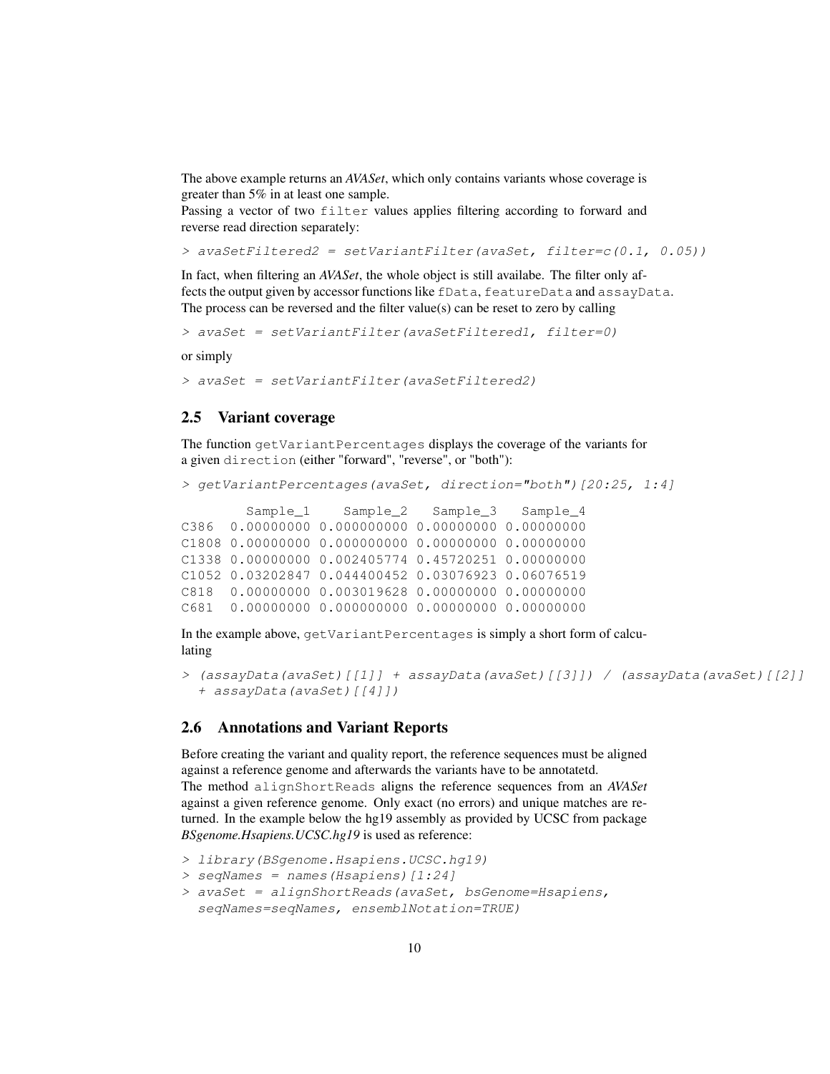The above example returns an *AVASet*, which only contains variants whose coverage is greater than 5% in at least one sample.

Passing a vector of two filter values applies filtering according to forward and reverse read direction separately:

```
> avaSetFiltered2 = setVariantFilter(avaSet, filter=c(0.1, 0.05))
```
In fact, when filtering an *AVASet*, the whole object is still availabe. The filter only affects the output given by accessor functions like fData, featureData and assayData. The process can be reversed and the filter value(s) can be reset to zero by calling

> avaSet = setVariantFilter(avaSetFiltered1, filter=0)

or simply

> avaSet = setVariantFilter(avaSetFiltered2)

#### <span id="page-9-0"></span>2.5 Variant coverage

The function getVariantPercentages displays the coverage of the variants for a given direction (either "forward", "reverse", or "both"):

```
> getVariantPercentages(avaSet, direction="both")[20:25, 1:4]
```

```
Sample 1 Sample 2 Sample 3 Sample 4
C386 0.00000000 0.000000000 0.00000000 0.00000000
C1808 0.00000000 0.000000000 0.00000000 0.00000000
C1338 0.00000000 0.002405774 0.45720251 0.00000000
C1052 0.03202847 0.044400452 0.03076923 0.06076519
C818 0.00000000 0.003019628 0.00000000 0.00000000
C681 0.00000000 0.000000000 0.00000000 0.00000000
```
In the example above, getVariantPercentages is simply a short form of calculating

```
> (assayData(avaSet)[[1]] + assayData(avaSet)[[3]]) / (assayData(avaSet)[[2]]
 + assayData(avaSet)[[4]])
```
#### <span id="page-9-1"></span>2.6 Annotations and Variant Reports

Before creating the variant and quality report, the reference sequences must be aligned against a reference genome and afterwards the variants have to be annotatetd. The method alignShortReads aligns the reference sequences from an *AVASet* against a given reference genome. Only exact (no errors) and unique matches are returned. In the example below the hg19 assembly as provided by UCSC from package *BSgenome.Hsapiens.UCSC.hg19* is used as reference:

```
> library(BSgenome.Hsapiens.UCSC.hg19)
```

```
> seqNames = names(Hsapiens)[1:24]
```

```
> avaSet = alignShortReads(avaSet, bsGenome=Hsapiens,
 seqNames=seqNames, ensemblNotation=TRUE)
```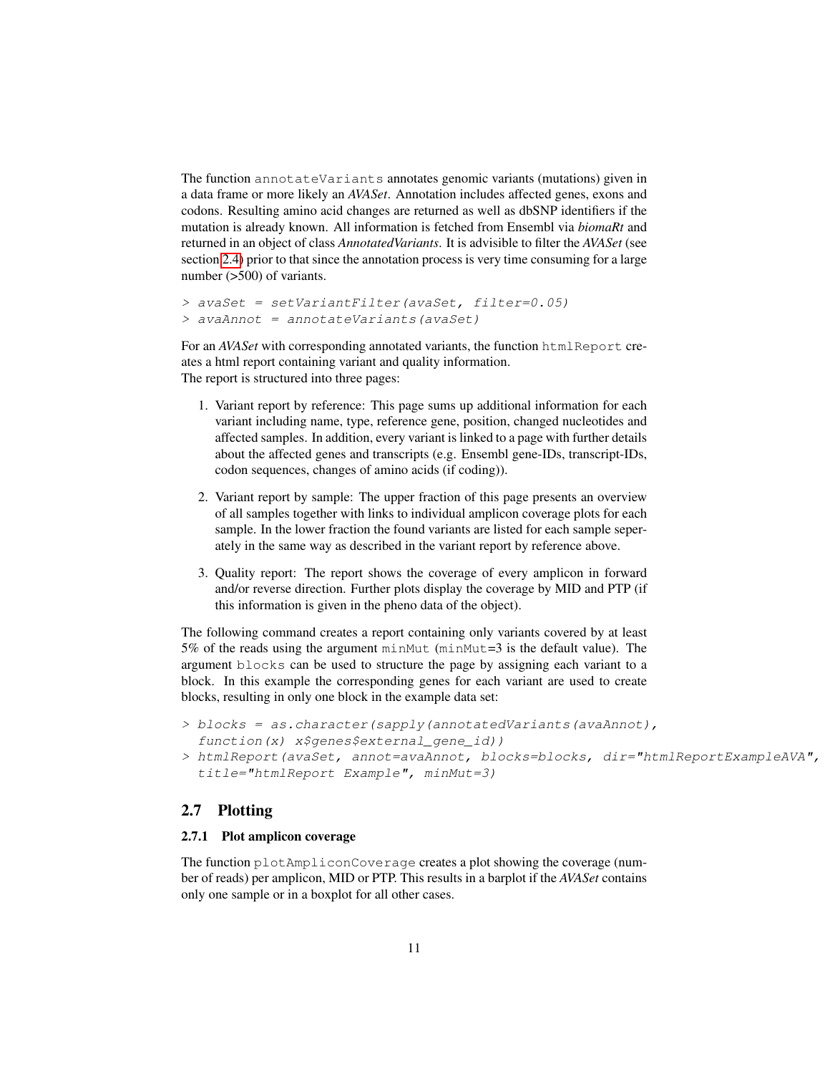The function annotateVariants annotates genomic variants (mutations) given in a data frame or more likely an *AVASet*. Annotation includes affected genes, exons and codons. Resulting amino acid changes are returned as well as dbSNP identifiers if the mutation is already known. All information is fetched from Ensembl via *biomaRt* and returned in an object of class *AnnotatedVariants*. It is advisible to filter the *AVASet* (see section [2.4\)](#page-8-0) prior to that since the annotation process is very time consuming for a large number (>500) of variants.

```
> avaSet = setVariantFilter(avaSet, filter=0.05)
> avaAnnot = annotateVariants(avaSet)
```
For an *AVASet* with corresponding annotated variants, the function htmlReport creates a html report containing variant and quality information. The report is structured into three pages:

- 1. Variant report by reference: This page sums up additional information for each variant including name, type, reference gene, position, changed nucleotides and affected samples. In addition, every variant is linked to a page with further details about the affected genes and transcripts (e.g. Ensembl gene-IDs, transcript-IDs, codon sequences, changes of amino acids (if coding)).
- 2. Variant report by sample: The upper fraction of this page presents an overview of all samples together with links to individual amplicon coverage plots for each sample. In the lower fraction the found variants are listed for each sample seperately in the same way as described in the variant report by reference above.
- 3. Quality report: The report shows the coverage of every amplicon in forward and/or reverse direction. Further plots display the coverage by MID and PTP (if this information is given in the pheno data of the object).

The following command creates a report containing only variants covered by at least 5% of the reads using the argument minMut (minMut=3 is the default value). The argument blocks can be used to structure the page by assigning each variant to a block. In this example the corresponding genes for each variant are used to create blocks, resulting in only one block in the example data set:

- $>$  blocks = as.character(sapply(annotatedVariants(avaAnnot), function(x) x\$genes\$external gene id))
- > htmlReport(avaSet, annot=avaAnnot, blocks=blocks, dir="htmlReportExampleAVA", title="htmlReport Example", minMut=3)

#### <span id="page-10-0"></span>2.7 Plotting

#### <span id="page-10-1"></span>2.7.1 Plot amplicon coverage

The function plotAmpliconCoverage creates a plot showing the coverage (number of reads) per amplicon, MID or PTP. This results in a barplot if the *AVASet* contains only one sample or in a boxplot for all other cases.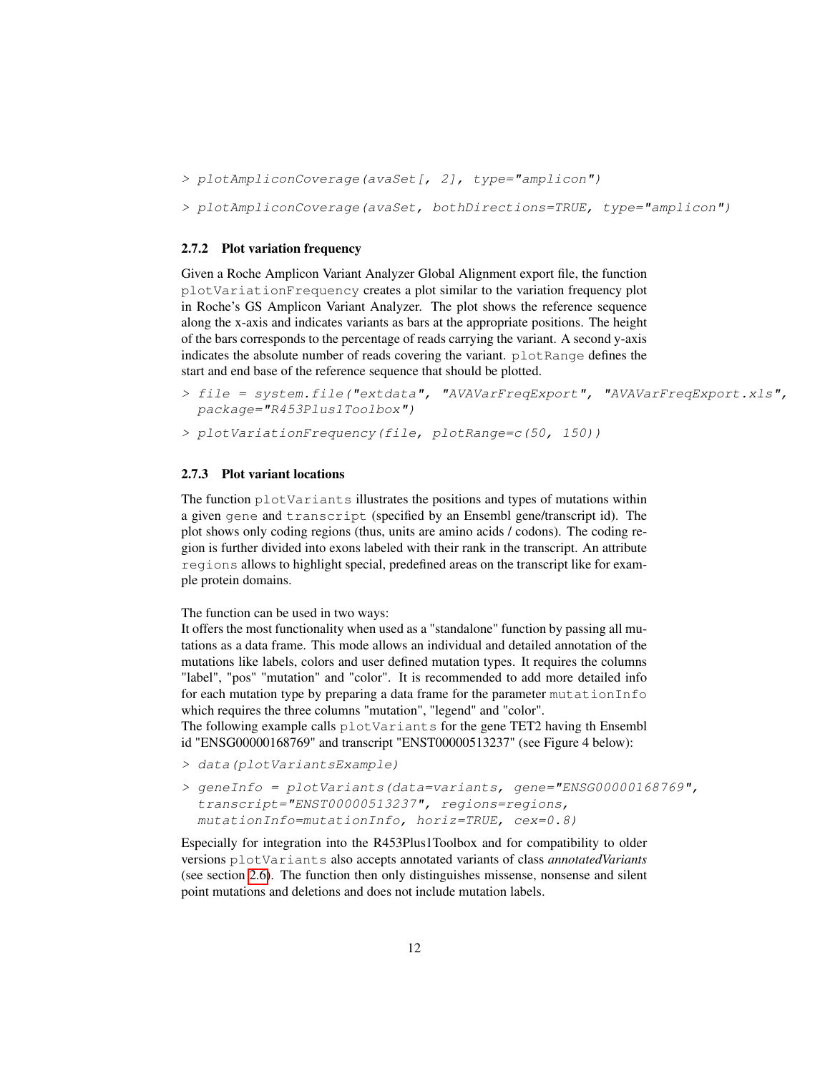```
> plotAmpliconCoverage(avaSet[, 2], type="amplicon")
```
> plotAmpliconCoverage(avaSet, bothDirections=TRUE, type="amplicon")

#### <span id="page-11-0"></span>2.7.2 Plot variation frequency

Given a Roche Amplicon Variant Analyzer Global Alignment export file, the function plotVariationFrequency creates a plot similar to the variation frequency plot in Roche's GS Amplicon Variant Analyzer. The plot shows the reference sequence along the x-axis and indicates variants as bars at the appropriate positions. The height of the bars corresponds to the percentage of reads carrying the variant. A second y-axis indicates the absolute number of reads covering the variant. plotRange defines the start and end base of the reference sequence that should be plotted.

```
> file = system.file("extdata", "AVAVarFreqExport", "AVAVarFreqExport.xls",
 package="R453Plus1Toolbox")
```

```
> plotVariationFrequency(file, plotRange=c(50, 150))
```
#### <span id="page-11-1"></span>2.7.3 Plot variant locations

The function plotVariants illustrates the positions and types of mutations within a given gene and transcript (specified by an Ensembl gene/transcript id). The plot shows only coding regions (thus, units are amino acids / codons). The coding region is further divided into exons labeled with their rank in the transcript. An attribute regions allows to highlight special, predefined areas on the transcript like for example protein domains.

The function can be used in two ways:

It offers the most functionality when used as a "standalone" function by passing all mutations as a data frame. This mode allows an individual and detailed annotation of the mutations like labels, colors and user defined mutation types. It requires the columns "label", "pos" "mutation" and "color". It is recommended to add more detailed info for each mutation type by preparing a data frame for the parameter mutationInfo which requires the three columns "mutation", "legend" and "color".

The following example calls plotVariants for the gene TET2 having th Ensembl id "ENSG00000168769" and transcript "ENST00000513237" (see Figure 4 below):

- > data(plotVariantsExample)
- > geneInfo = plotVariants(data=variants, gene="ENSG00000168769", transcript="ENST00000513237", regions=regions, mutationInfo=mutationInfo, horiz=TRUE, cex=0.8)

Especially for integration into the R453Plus1Toolbox and for compatibility to older versions plotVariants also accepts annotated variants of class *annotatedVariants* (see section [2.6\)](#page-9-1). The function then only distinguishes missense, nonsense and silent point mutations and deletions and does not include mutation labels.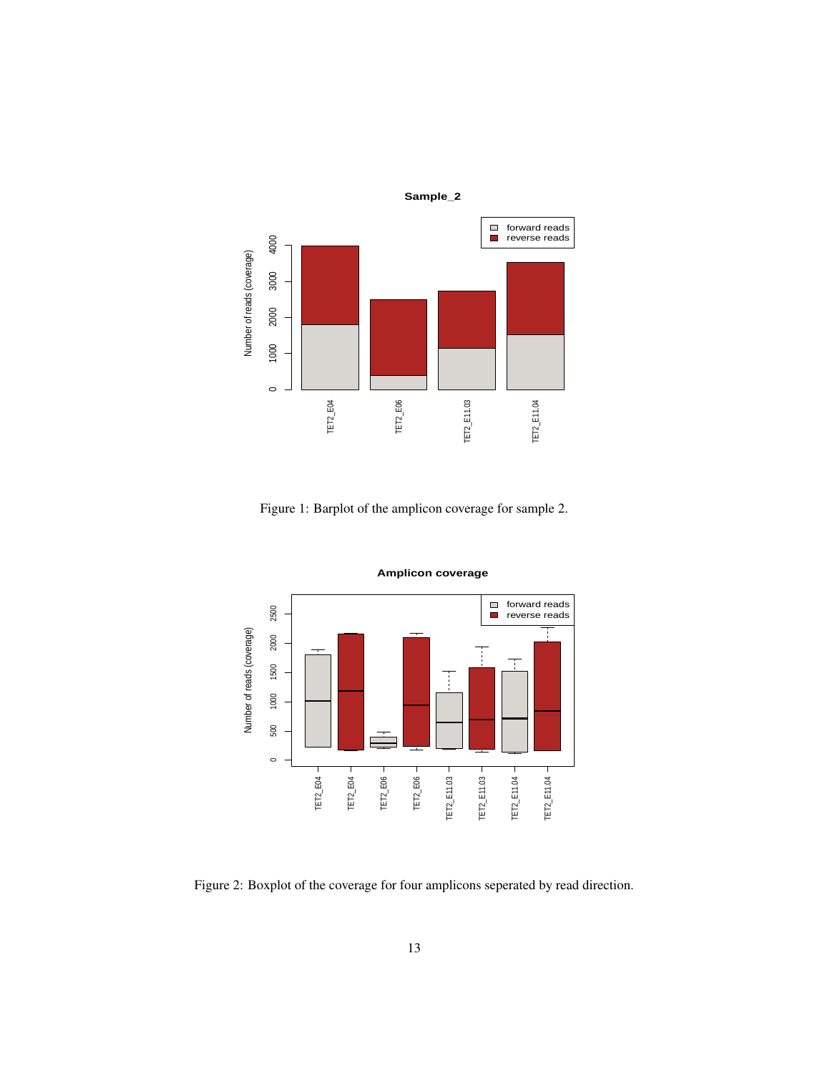

Figure 1: Barplot of the amplicon coverage for sample 2.



**Amplicon coverage**

Figure 2: Boxplot of the coverage for four amplicons seperated by read direction.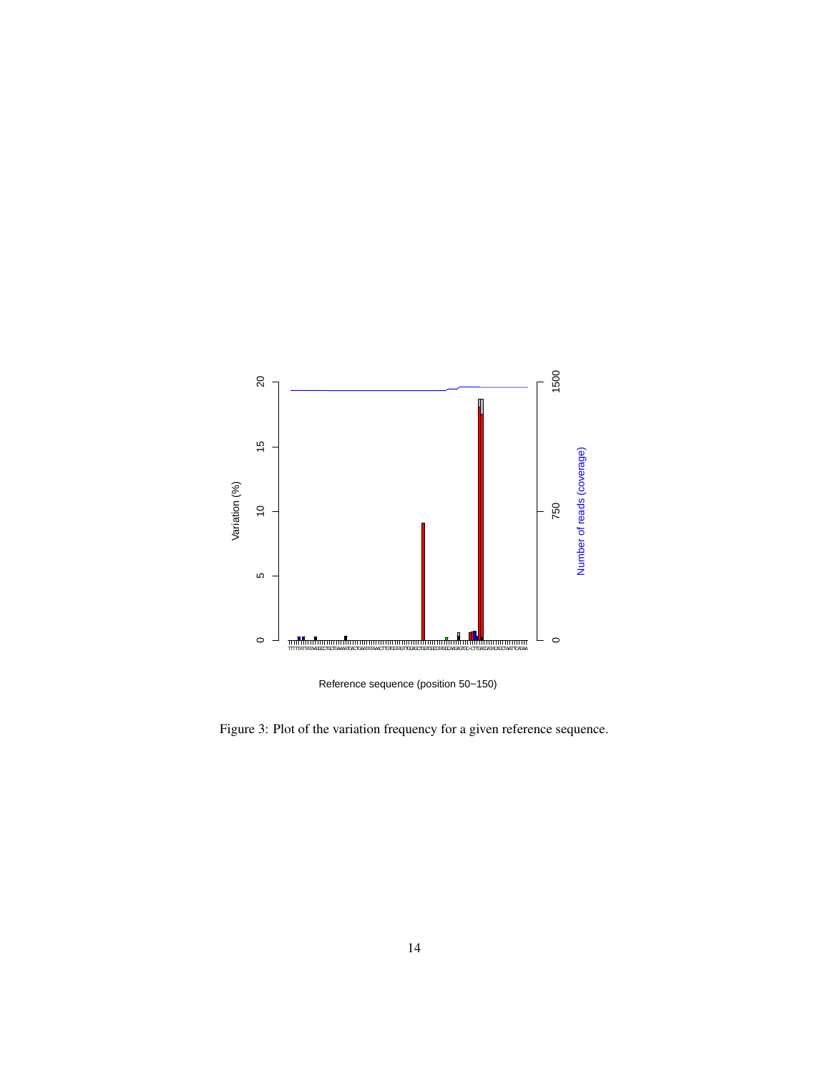

Reference sequence (position 50−150)

Figure 3: Plot of the variation frequency for a given reference sequence.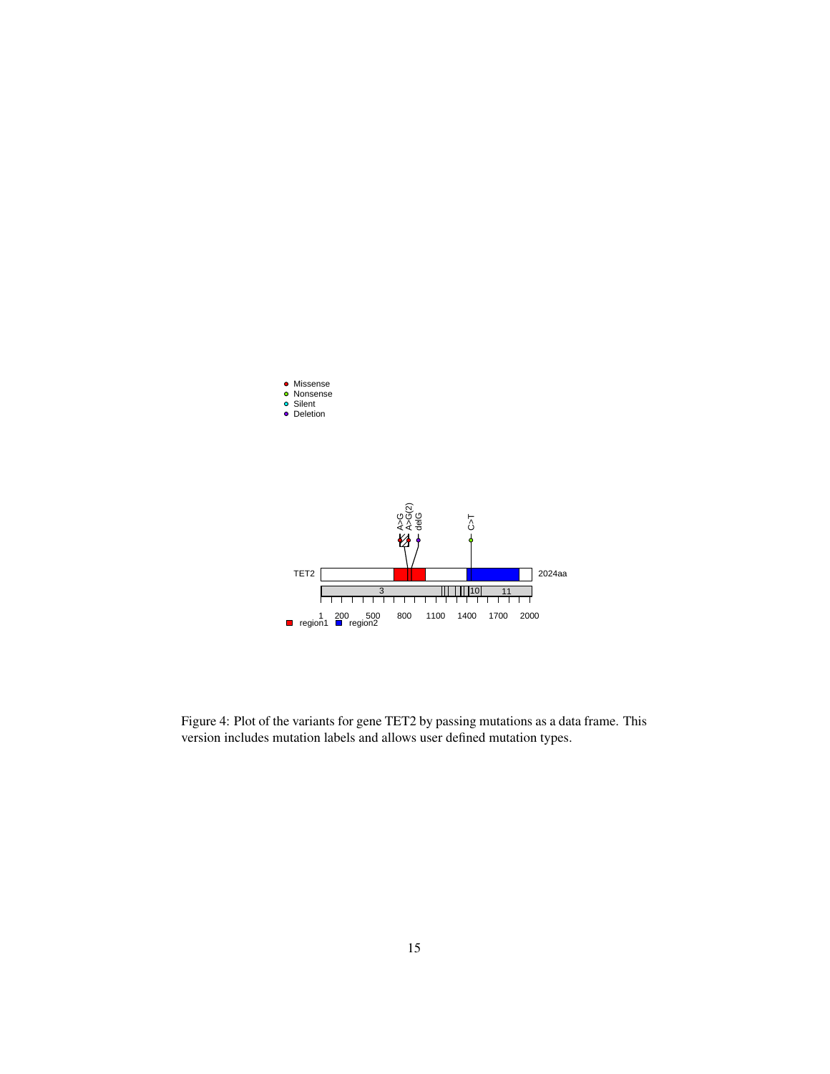

Figure 4: Plot of the variants for gene TET2 by passing mutations as a data frame. This version includes mutation labels and allows user defined mutation types.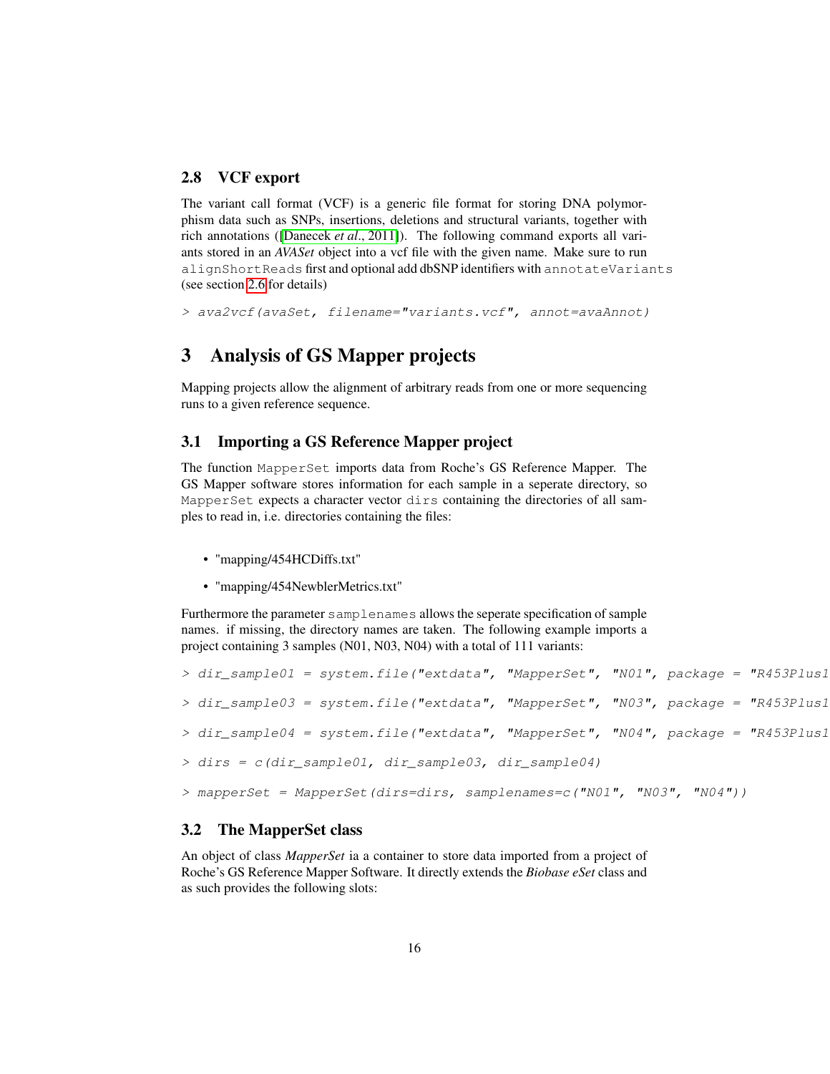#### <span id="page-15-0"></span>2.8 VCF export

The variant call format (VCF) is a generic file format for storing DNA polymorphism data such as SNPs, insertions, deletions and structural variants, together with rich annotations ([\[Danecek](#page-26-0) *et al*., 2011]). The following command exports all variants stored in an *AVASet* object into a vcf file with the given name. Make sure to run alignShortReads first and optional add dbSNP identifiers with annotateVariants (see section [2.6](#page-9-1) for details)

```
> ava2vcf(avaSet, filename="variants.vcf", annot=avaAnnot)
```
# <span id="page-15-1"></span>3 Analysis of GS Mapper projects

Mapping projects allow the alignment of arbitrary reads from one or more sequencing runs to a given reference sequence.

#### <span id="page-15-2"></span>3.1 Importing a GS Reference Mapper project

The function MapperSet imports data from Roche's GS Reference Mapper. The GS Mapper software stores information for each sample in a seperate directory, so MapperSet expects a character vector dirs containing the directories of all samples to read in, i.e. directories containing the files:

- "mapping/454HCDiffs.txt"
- "mapping/454NewblerMetrics.txt"

Furthermore the parameter samplenames allows the seperate specification of sample names. if missing, the directory names are taken. The following example imports a project containing 3 samples (N01, N03, N04) with a total of 111 variants:

```
> dir sample01 = system.file("extdata", "MapperSet", "N01", package = "R453Plus1
> dir sample03 = system.file("extdata", "MapperSet", "N03", package = "R453Plus1
> dir_sample04 = system.file("extdata", "MapperSet", "N04", package = "R453Plus1
> dirs = c(dir_sample01, dir_sample03, dir_sample04)
> mapperSet = MapperSet(dirs=dirs, samplenames=c("N01", "N03", "N04"))
```
#### <span id="page-15-3"></span>3.2 The MapperSet class

An object of class *MapperSet* ia a container to store data imported from a project of Roche's GS Reference Mapper Software. It directly extends the *Biobase eSet* class and as such provides the following slots: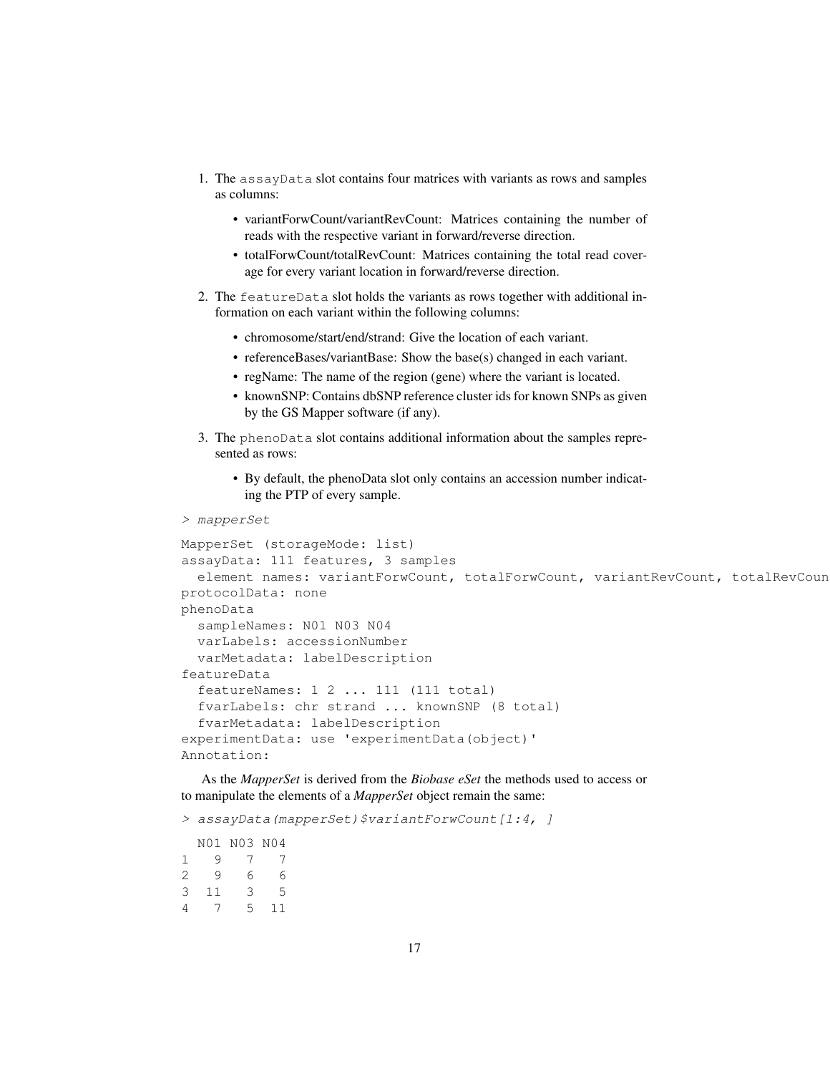- 1. The assayData slot contains four matrices with variants as rows and samples as columns:
	- variantForwCount/variantRevCount: Matrices containing the number of reads with the respective variant in forward/reverse direction.
	- totalForwCount/totalRevCount: Matrices containing the total read coverage for every variant location in forward/reverse direction.
- 2. The featureData slot holds the variants as rows together with additional information on each variant within the following columns:
	- chromosome/start/end/strand: Give the location of each variant.
	- referenceBases/variantBase: Show the base(s) changed in each variant.
	- regName: The name of the region (gene) where the variant is located.
	- knownSNP: Contains dbSNP reference cluster ids for known SNPs as given by the GS Mapper software (if any).
- 3. The phenoData slot contains additional information about the samples represented as rows:
	- By default, the phenoData slot only contains an accession number indicating the PTP of every sample.
- > mapperSet

```
MapperSet (storageMode: list)
assayData: 111 features, 3 samples
  element names: variantForwCount, totalForwCount, variantRevCount, totalRevCoun
protocolData: none
phenoData
  sampleNames: N01 N03 N04
 varLabels: accessionNumber
  varMetadata: labelDescription
featureData
  featureNames: 1 2 ... 111 (111 total)
  fvarLabels: chr strand ... knownSNP (8 total)
  fvarMetadata: labelDescription
experimentData: use 'experimentData(object)'
Annotation:
```
As the *MapperSet* is derived from the *Biobase eSet* the methods used to access or to manipulate the elements of a *MapperSet* object remain the same:

> assayData(mapperSet)\$variantForwCount[1:4, ]

N01 N03 N04 1 9 7 7 2 9 6 6 3 11 3 5 4 7 5 11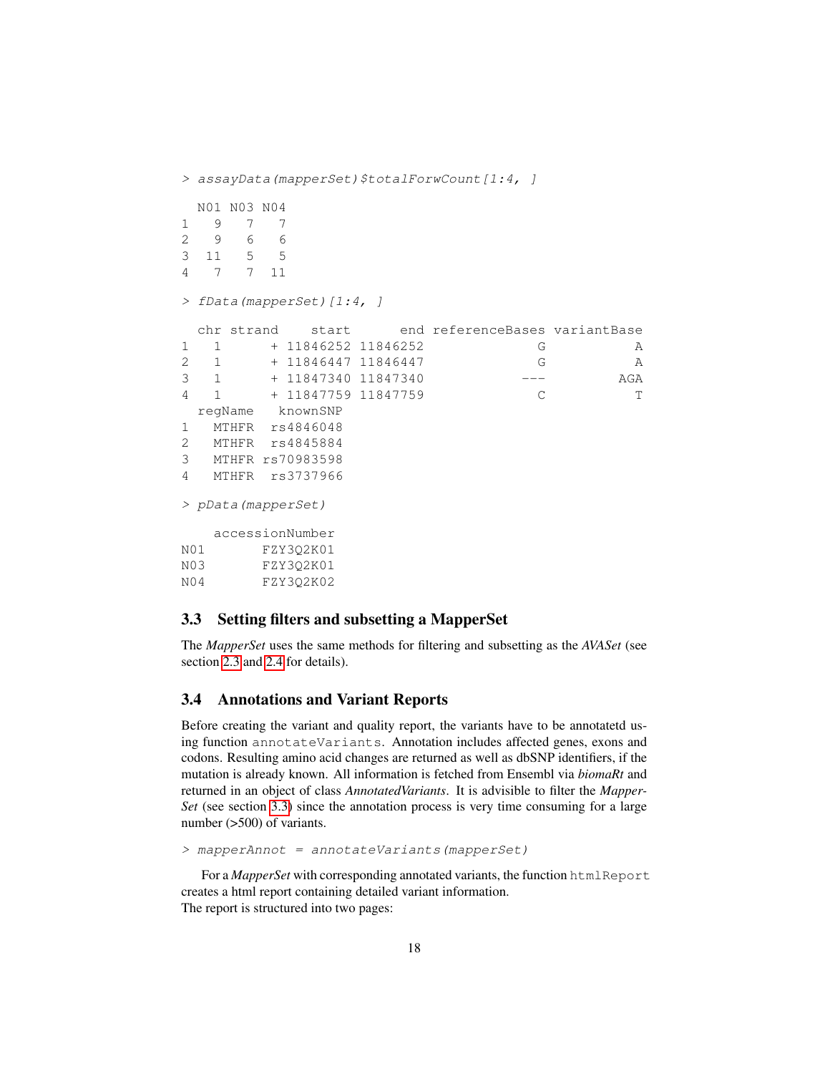```
> assayData(mapperSet)$totalForwCount[1:4, ]
 N01 N03 N04
1 9 7 7
2 9 6 6
3 11 5 5
4 7 7 11
> fData(mapperSet)[1:4, ]
 chr strand start end referenceBases variantBase
1 1 + 11846252 11846252 G A
2 1 + 11846447 11846447 G A
3 1 + 11847340 11847340 --- AGA
4 1 + 11847759 11847759 C T
 regName knownSNP
1 MTHFR rs4846048
2 MTHFR rs4845884
3 MTHFR rs70983598
4 MTHFR rs3737966
> pData(mapperSet)
  accessionNumber
N01 FZY3Q2K01
N03 FZY3Q2K01
N04 FZY3Q2K02
```
#### <span id="page-17-0"></span>3.3 Setting filters and subsetting a MapperSet

The *MapperSet* uses the same methods for filtering and subsetting as the *AVASet* (see section [2.3](#page-7-0) and [2.4](#page-8-0) for details).

#### <span id="page-17-1"></span>3.4 Annotations and Variant Reports

Before creating the variant and quality report, the variants have to be annotatetd using function annotateVariants. Annotation includes affected genes, exons and codons. Resulting amino acid changes are returned as well as dbSNP identifiers, if the mutation is already known. All information is fetched from Ensembl via *biomaRt* and returned in an object of class *AnnotatedVariants*. It is advisible to filter the *Mapper-Set* (see section [3.3\)](#page-17-0) since the annotation process is very time consuming for a large number (>500) of variants.

```
> mapperAnnot = annotateVariants(mapperSet)
```
For a *MapperSet* with corresponding annotated variants, the function htmlReport creates a html report containing detailed variant information. The report is structured into two pages: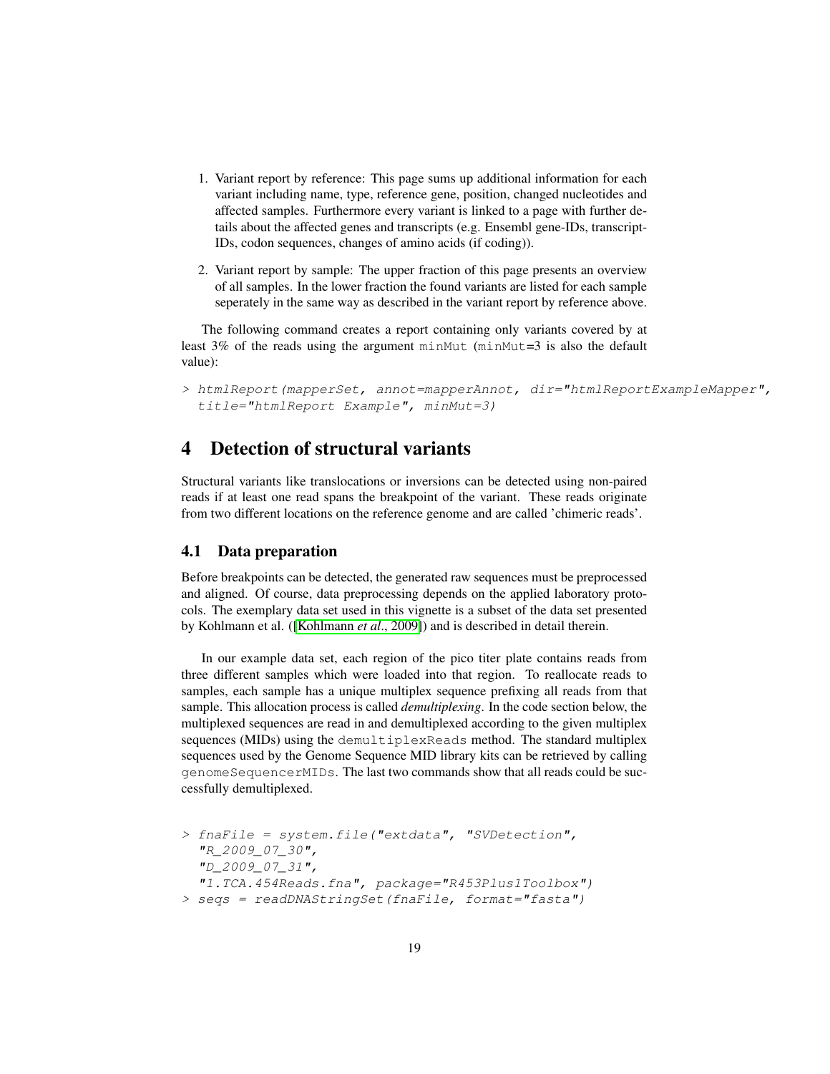- 1. Variant report by reference: This page sums up additional information for each variant including name, type, reference gene, position, changed nucleotides and affected samples. Furthermore every variant is linked to a page with further details about the affected genes and transcripts (e.g. Ensembl gene-IDs, transcript-IDs, codon sequences, changes of amino acids (if coding)).
- 2. Variant report by sample: The upper fraction of this page presents an overview of all samples. In the lower fraction the found variants are listed for each sample seperately in the same way as described in the variant report by reference above.

The following command creates a report containing only variants covered by at least  $3\%$  of the reads using the argument minMut (minMut=3 is also the default value):

> htmlReport(mapperSet, annot=mapperAnnot, dir="htmlReportExampleMapper", title="htmlReport Example", minMut=3)

# <span id="page-18-0"></span>4 Detection of structural variants

Structural variants like translocations or inversions can be detected using non-paired reads if at least one read spans the breakpoint of the variant. These reads originate from two different locations on the reference genome and are called 'chimeric reads'.

#### <span id="page-18-1"></span>4.1 Data preparation

Before breakpoints can be detected, the generated raw sequences must be preprocessed and aligned. Of course, data preprocessing depends on the applied laboratory protocols. The exemplary data set used in this vignette is a subset of the data set presented by Kohlmann et al. ([\[Kohlmann](#page-25-2) *et al*., 2009]) and is described in detail therein.

In our example data set, each region of the pico titer plate contains reads from three different samples which were loaded into that region. To reallocate reads to samples, each sample has a unique multiplex sequence prefixing all reads from that sample. This allocation process is called *demultiplexing*. In the code section below, the multiplexed sequences are read in and demultiplexed according to the given multiplex sequences (MIDs) using the demultiplexReads method. The standard multiplex sequences used by the Genome Sequence MID library kits can be retrieved by calling genomeSequencerMIDs. The last two commands show that all reads could be successfully demultiplexed.

```
> fnaFile = system.file("extdata", "SVDetection",
  "R_2009_07_30",
  "D_2009_07_31",
  "1.TCA.454Reads.fna", package="R453Plus1Toolbox")
> seqs = readDNAStringSet(fnaFile, format="fasta")
```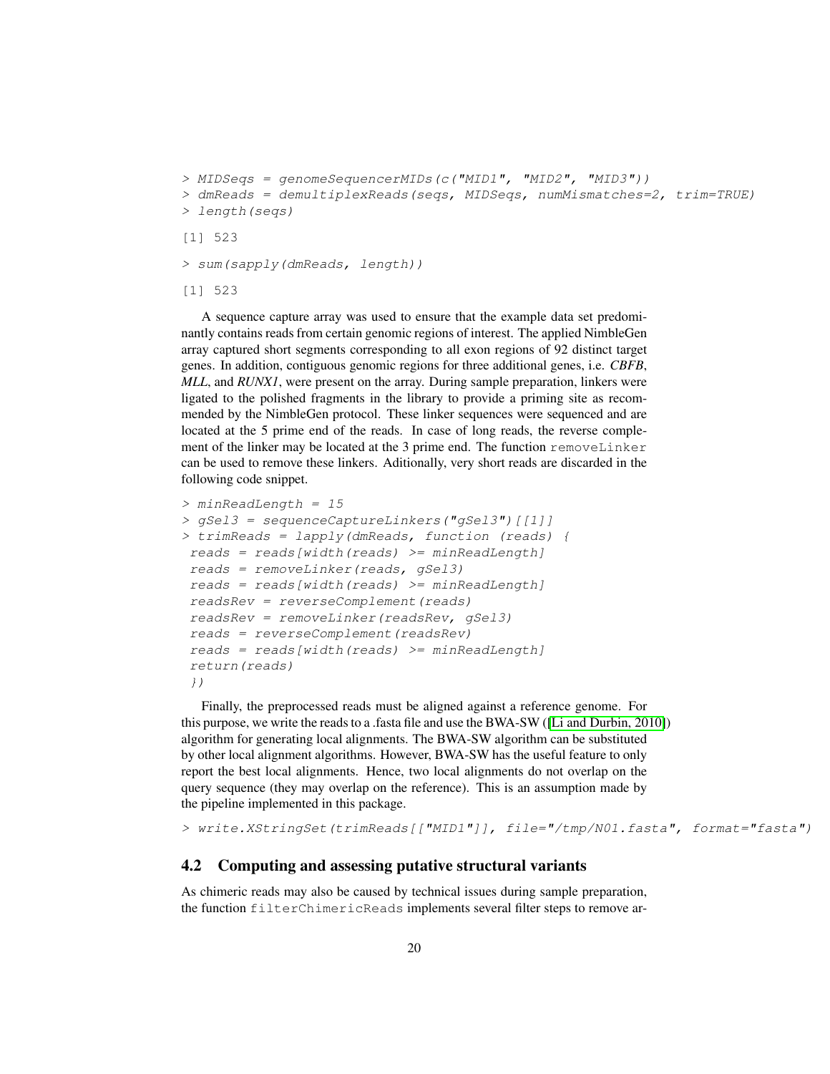```
> MIDSeqs = genomeSequencerMIDs(c("MID1", "MID2", "MID3"))
> dmReads = demultiplexReads(seqs, MIDSeqs, numMismatches=2, trim=TRUE)
> length(seqs)
[1] 523
```
> sum(sapply(dmReads, length))

[1] 523

A sequence capture array was used to ensure that the example data set predominantly contains reads from certain genomic regions of interest. The applied NimbleGen array captured short segments corresponding to all exon regions of 92 distinct target genes. In addition, contiguous genomic regions for three additional genes, i.e. *CBFB*, *MLL*, and *RUNX1*, were present on the array. During sample preparation, linkers were ligated to the polished fragments in the library to provide a priming site as recommended by the NimbleGen protocol. These linker sequences were sequenced and are located at the 5 prime end of the reads. In case of long reads, the reverse complement of the linker may be located at the 3 prime end. The function removeLinker can be used to remove these linkers. Aditionally, very short reads are discarded in the following code snippet.

```
> minReadLength = 15
> gSel3 = sequenceCaptureLinkers("gSel3")[[1]]
> trimReads = lapply(dmReads, function (reads) {
reads = reads[width(reads) > = minReadLength]reads = removeLinker(reads, gSel3)
reads = reads[width(reads) > = minReadLength]readsRev = reverseComplement(reads)
readsRev = removeLinker(readsRev, gSel3)
reads = reverseComplement(readsRev)
reads = reads[width(reads) > = minReadLength]return(reads)
})
```
Finally, the preprocessed reads must be aligned against a reference genome. For this purpose, we write the reads to a .fasta file and use the BWA-SW ([\[Li and Durbin, 2010\]](#page-26-1)) algorithm for generating local alignments. The BWA-SW algorithm can be substituted by other local alignment algorithms. However, BWA-SW has the useful feature to only report the best local alignments. Hence, two local alignments do not overlap on the query sequence (they may overlap on the reference). This is an assumption made by the pipeline implemented in this package.

> write.XStringSet(trimReads[["MID1"]], file="/tmp/N01.fasta", format="fasta")

#### <span id="page-19-0"></span>4.2 Computing and assessing putative structural variants

As chimeric reads may also be caused by technical issues during sample preparation, the function filterChimericReads implements several filter steps to remove ar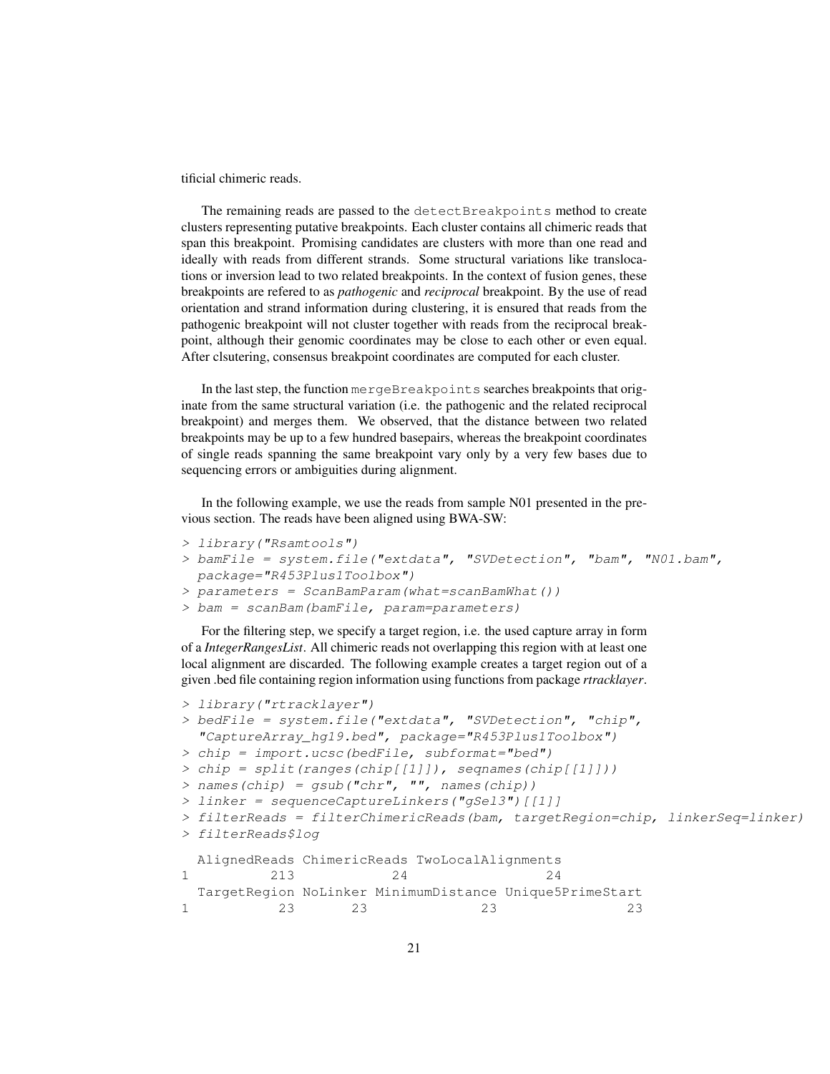tificial chimeric reads.

The remaining reads are passed to the detectBreakpoints method to create clusters representing putative breakpoints. Each cluster contains all chimeric reads that span this breakpoint. Promising candidates are clusters with more than one read and ideally with reads from different strands. Some structural variations like translocations or inversion lead to two related breakpoints. In the context of fusion genes, these breakpoints are refered to as *pathogenic* and *reciprocal* breakpoint. By the use of read orientation and strand information during clustering, it is ensured that reads from the pathogenic breakpoint will not cluster together with reads from the reciprocal breakpoint, although their genomic coordinates may be close to each other or even equal. After clsutering, consensus breakpoint coordinates are computed for each cluster.

In the last step, the function mergeBreakpoints searches breakpoints that originate from the same structural variation (i.e. the pathogenic and the related reciprocal breakpoint) and merges them. We observed, that the distance between two related breakpoints may be up to a few hundred basepairs, whereas the breakpoint coordinates of single reads spanning the same breakpoint vary only by a very few bases due to sequencing errors or ambiguities during alignment.

In the following example, we use the reads from sample N01 presented in the previous section. The reads have been aligned using BWA-SW:

- > library("Rsamtools")
- > bamFile = system.file("extdata", "SVDetection", "bam", "N01.bam", package="R453Plus1Toolbox")

```
> parameters = ScanBamParam(what=scanBamWhat())
```

```
> bam = scanBam(bamFile, param=parameters)
```
For the filtering step, we specify a target region, i.e. the used capture array in form of a *IntegerRangesList*. All chimeric reads not overlapping this region with at least one local alignment are discarded. The following example creates a target region out of a given .bed file containing region information using functions from package *rtracklayer*.

```
> library("rtracklayer")
> bedFile = system.file("extdata", "SVDetection", "chip",
  "CaptureArray_hg19.bed", package="R453Plus1Toolbox")
> chip = import.ucsc(bedFile, subformat="bed")
> chip = split(ranges(chip[[1]]), seqnames(chip[[1]]))
> names(chip) = gsub("chr", "", names(chip))
> linker = sequenceCaptureLinkers("gSel3")[[1]]
> filterReads = filterChimericReads(bam, targetRegion=chip, linkerSeq=linker)
> filterReads$log
 AlignedReads ChimericReads TwoLocalAlignments
1 213 24 24
 TargetRegion NoLinker MinimumDistance Unique5PrimeStart
1 23 23 23 23
```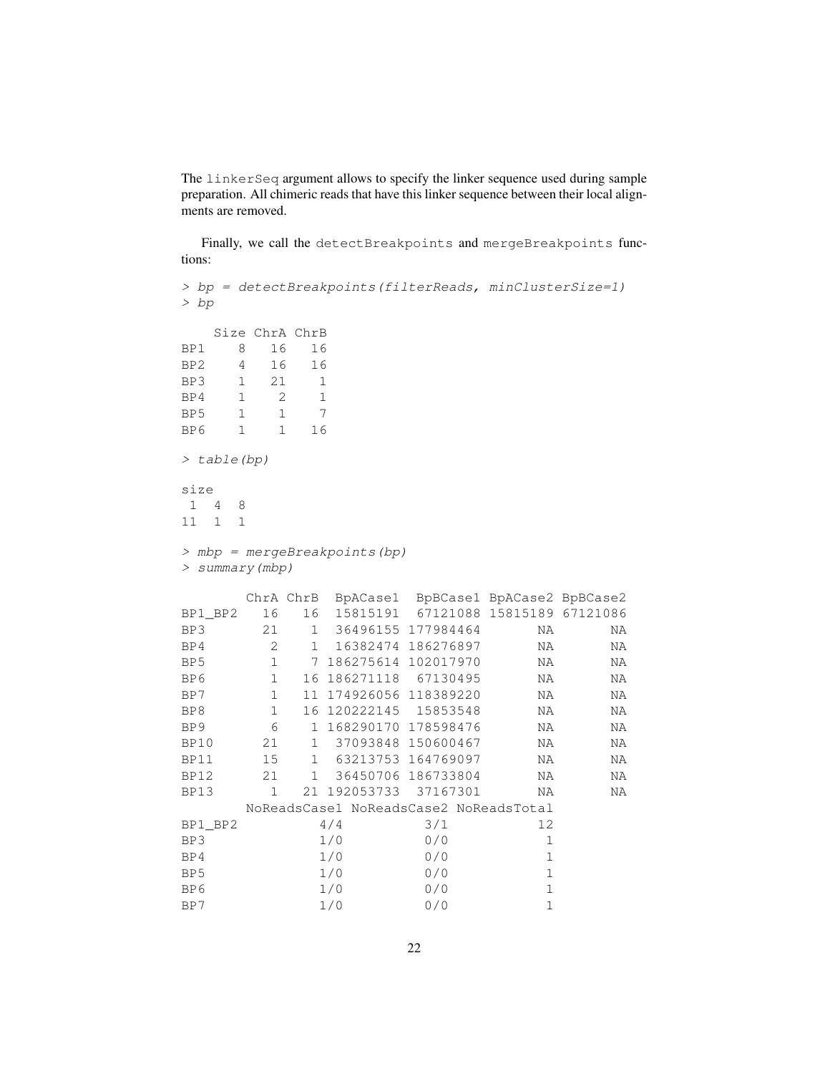The linkerSeq argument allows to specify the linker sequence used during sample preparation. All chimeric reads that have this linker sequence between their local alignments are removed.

Finally, we call the detectBreakpoints and mergeBreakpoints functions:

```
> bp = detectBreakpoints(filterReads, minClusterSize=1)
> bp
  Size ChrA ChrB
BP1 8 16 16
BP2 4 16 16
BP3 1 21 1
BP4 1 2 1
BP5 1 1 7
BP6 1 1 16
> table(bp)
size
1 4 8
11 1 1
> mbp = mergeBreakpoints(bp)
> summary(mbp)
     ChrA ChrB BpACase1 BpBCase1 BpACase2 BpBCase2
BP1_BP2 16 16 15815191 67121088 15815189 67121086
BP3 21 1 36496155 177984464 NA NA
BP4 2 1 16382474 186276897 NA NA
BP5 1 7 186275614 102017970 NA NA
BP6 1 16 186271118 67130495 NA NA
BP7 1 11 174926056 118389220 NA NA
BP8 1 16 120222145 15853548 NA NA
BP9 6 1 168290170 178598476 NA NA
BP10 21 1 37093848 150600467 NA NA
BP11 15 1 63213753 164769097 NA NA
BP12 21 1 36450706 186733804 NA NA
BP13 1 21 192053733 37167301 NA NA
     NoReadsCase1 NoReadsCase2 NoReadsTotal
BP1_BP2 4/4 3/1 12
BP3 1/0 0/0 1
BP4 1/0 0/0 1
BP5 1/0 0/0 1
BP6 1/0 0/0 1
BP7 1/0 0/0 1
```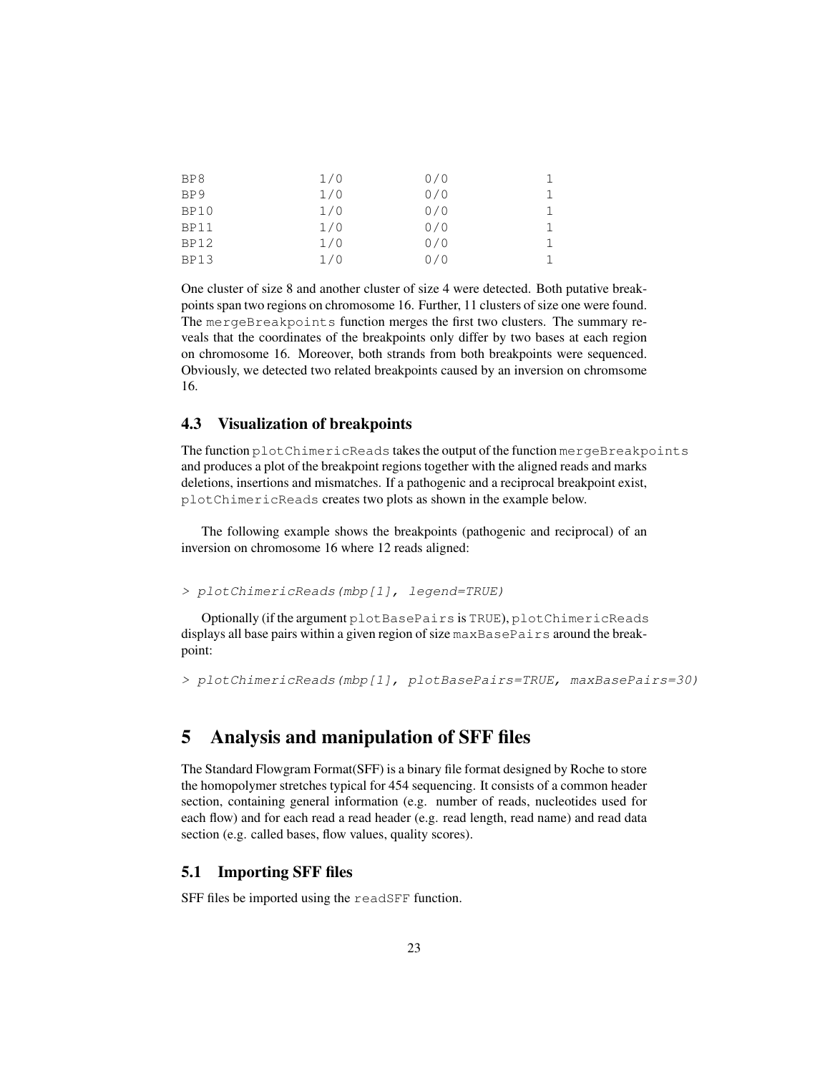| BP8         | 1/0 | 0/0 |  |
|-------------|-----|-----|--|
| BP9         | 1/0 | 0/0 |  |
| BP10        | 1/0 | 0/0 |  |
| <b>BP11</b> | 1/0 | 0/0 |  |
| <b>BP12</b> | 1/0 | 0/0 |  |
| <b>BP13</b> | 1/0 | 0/0 |  |

One cluster of size 8 and another cluster of size 4 were detected. Both putative breakpoints span two regions on chromosome 16. Further, 11 clusters of size one were found. The mergeBreakpoints function merges the first two clusters. The summary reveals that the coordinates of the breakpoints only differ by two bases at each region on chromosome 16. Moreover, both strands from both breakpoints were sequenced. Obviously, we detected two related breakpoints caused by an inversion on chromsome 16.

#### <span id="page-22-0"></span>4.3 Visualization of breakpoints

The function plotChimericReads takes the output of the function mergeBreakpoints and produces a plot of the breakpoint regions together with the aligned reads and marks deletions, insertions and mismatches. If a pathogenic and a reciprocal breakpoint exist, plotChimericReads creates two plots as shown in the example below.

The following example shows the breakpoints (pathogenic and reciprocal) of an inversion on chromosome 16 where 12 reads aligned:

> plotChimericReads(mbp[1], legend=TRUE)

Optionally (if the argument plotBasePairs is TRUE), plotChimericReads displays all base pairs within a given region of size maxBasePairs around the breakpoint:

> plotChimericReads(mbp[1], plotBasePairs=TRUE, maxBasePairs=30)

# <span id="page-22-1"></span>5 Analysis and manipulation of SFF files

The Standard Flowgram Format(SFF) is a binary file format designed by Roche to store the homopolymer stretches typical for 454 sequencing. It consists of a common header section, containing general information (e.g. number of reads, nucleotides used for each flow) and for each read a read header (e.g. read length, read name) and read data section (e.g. called bases, flow values, quality scores).

#### <span id="page-22-2"></span>5.1 Importing SFF files

SFF files be imported using the readSFF function.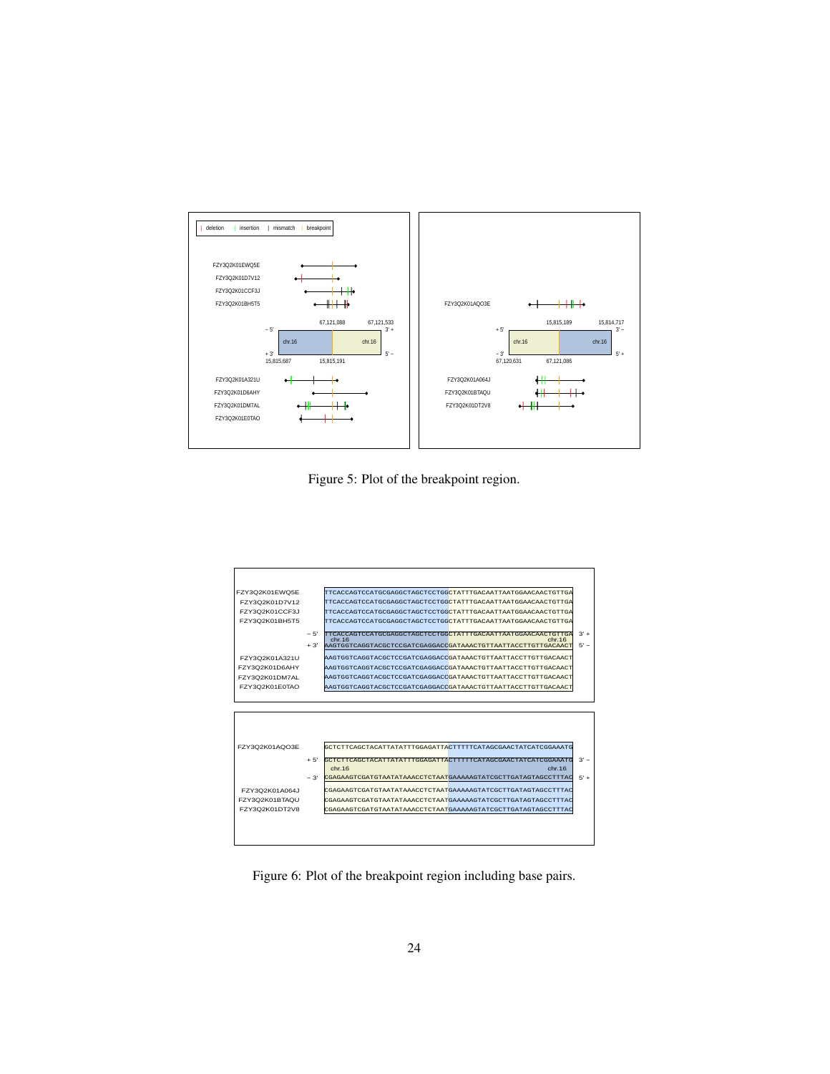

Figure 5: Plot of the breakpoint region.



Figure 6: Plot of the breakpoint region including base pairs.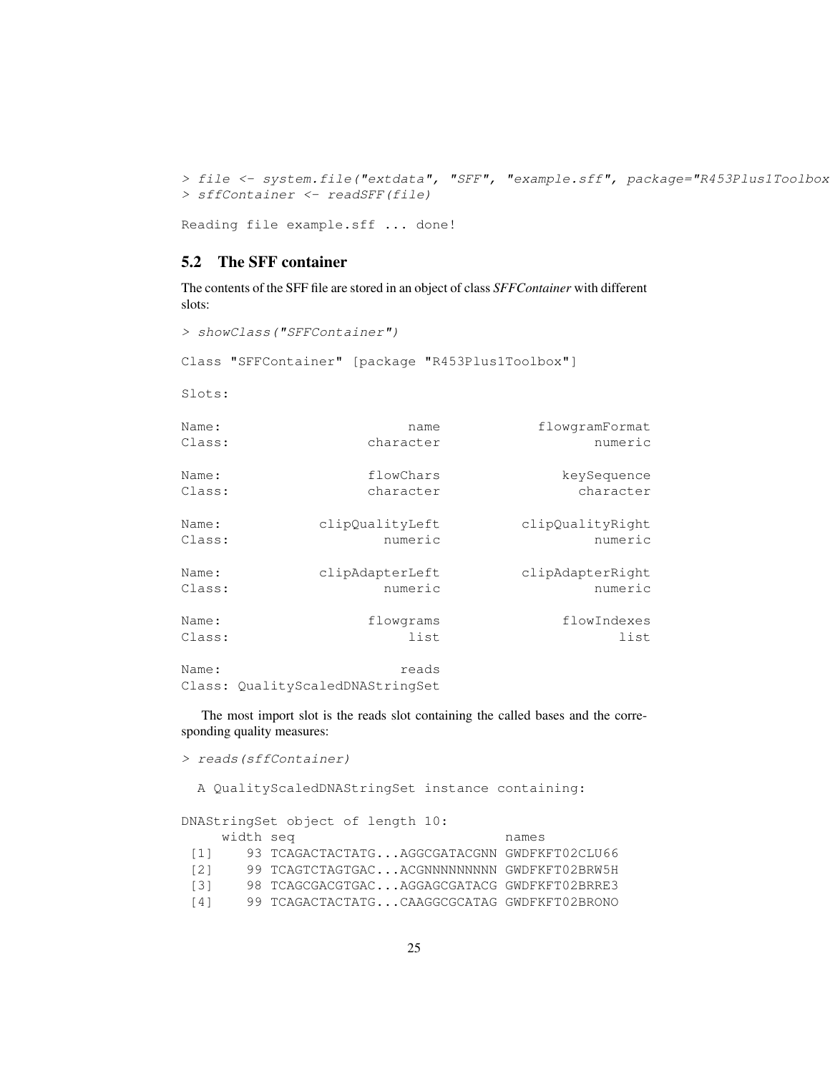> file <- system.file("extdata", "SFF", "example.sff", package="R453Plus1Toolbox > sffContainer <- readSFF(file)

```
Reading file example.sff ... done!
```
#### <span id="page-24-0"></span>5.2 The SFF container

The contents of the SFF file are stored in an object of class *SFFContainer* with different slots:

> showClass("SFFContainer")

Class "SFFContainer" [package "R453Plus1Toolbox"]

Slots:

| flowgramFormat   | name                                      | Name:  |
|------------------|-------------------------------------------|--------|
| numeric          | character                                 | Class: |
| keySequence      | flowChars                                 | Name:  |
| character        | character                                 | Class: |
| clipQualityRight | clipQualityLeft                           | Name:  |
| numeric          | numeric                                   | Class: |
| clipAdapterRight | clipAdapterLeft                           | Name:  |
| numeric          | numeric                                   | Class: |
| flowIndexes      | flowgrams                                 | Name:  |
| list             | list                                      | Class: |
|                  | reads<br>Class: QualityScaledDNAStringSet | Name:  |

The most import slot is the reads slot containing the called bases and the corresponding quality measures:

> reads(sffContainer)

A QualityScaledDNAStringSet instance containing:

| DNAStringSet object of length 10: |           |                                              |       |
|-----------------------------------|-----------|----------------------------------------------|-------|
|                                   | width seq |                                              | names |
| $\left\lceil 1 \right\rceil$      |           | 93 TCAGACTACTATGAGGCGATACGNN GWDFKFT02CLU66  |       |
| $\lceil 2 \rceil$                 |           | 99 TCAGTCTAGTGACACGNNNNNNNNNN GWDFKFT02BRW5H |       |
| $\lceil 3 \rceil$                 |           | 98 TCAGCGACGTGACAGGAGCGATACG GWDFKFT02BRRE3  |       |
| $\lceil 4 \rceil$                 |           | 99 TCAGACTACTATGCAAGGCGCATAG GWDFKFT02BRONO  |       |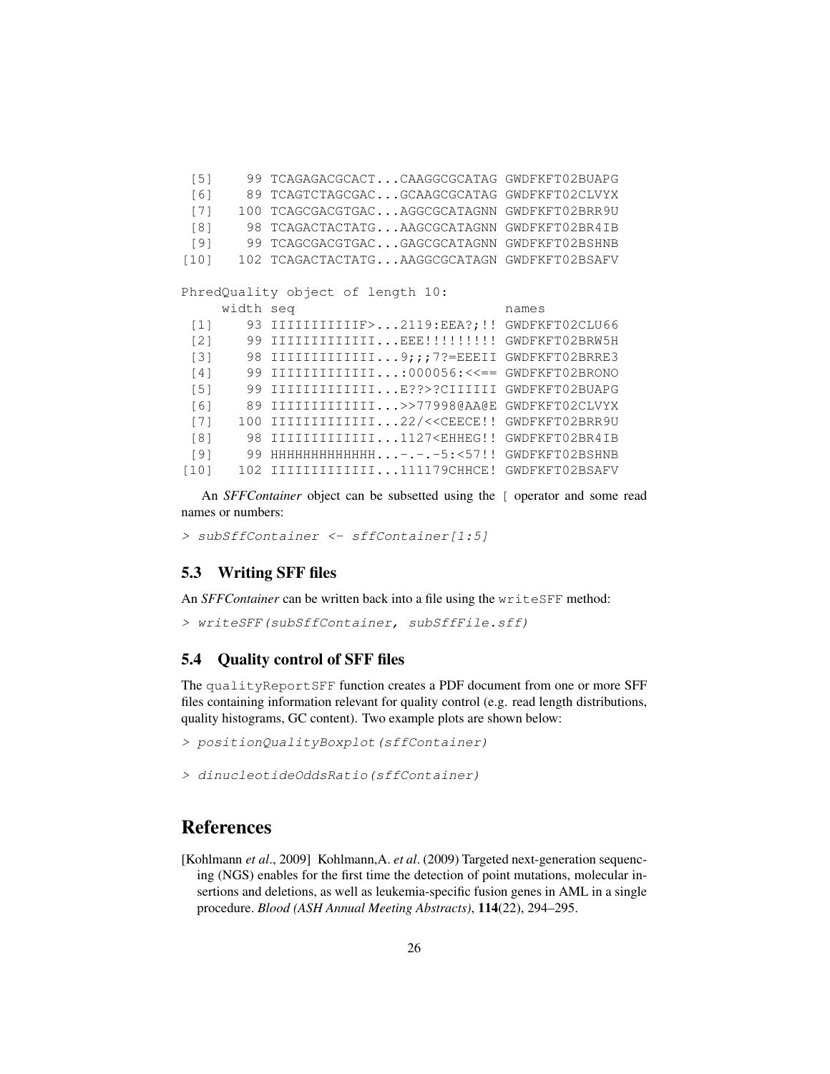[5] 99 TCAGAGACGCACT...CAAGGCGCATAG GWDFKFT02BUAPG [6] 89 TCAGTCTAGCGAC...GCAAGCGCATAG GWDFKFT02CLVYX [7] 100 TCAGCGACGTGAC...AGGCGCATAGNN GWDFKFT02BRR9U [8] 98 TCAGACTACTATG...AAGCGCATAGNN GWDFKFT02BR4IB [9] 99 TCAGCGACGTGAC...GAGCGCATAGNN GWDFKFT02BSHNB [10] 102 TCAGACTACTATG...AAGGCGCATAGN GWDFKFT02BSAFV PhredQuality object of length 10: width seq names [1] 93 IIIIIIIIIIIF>...2119:EEA?; !! GWDFKFT02CLU66 [2] 99 IIIIIIIIIIIIII...EEE!!!!!!!!!! GWDFKFT02BRW5H [3] 98 IIIIIIIIIIIIII...9;;;7?=EEEII GWDFKFT02BRRE3 [4] 99 IIIIIIIIIIIII...:000056:<<== GWDFKFT02BRONO [5] 99 IIIIIIIIIIIII...E??>?CIIIIII GWDFKFT02BUAPG [6] 89 IIIIIIIIIIIII...>>77998@AA@E GWDFKFT02CLVYX [7] 100 IIIIIIIIIIIIIII...22/<<CEECE!! GWDFKFT02BRR9U [8] 98 IIIIIIIIIIIIII...1127<EHHEG!! GWDFKFT02BR4IB [9] 99 HHHHHHHHHHHHH...-.-.-5:<57!! GWDFKFT02BSHNB [10] 102 IIIIIIIIIIIIII...111179CHHCE! GWDFKFT02BSAFV

An *SFFContainer* object can be subsetted using the [ operator and some read names or numbers:

```
> subSffContainer <- sffContainer[1:5]
```
#### <span id="page-25-0"></span>5.3 Writing SFF files

An *SFFContainer* can be written back into a file using the writeSFF method:

```
> writeSFF(subSffContainer, subSffFile.sff)
```
#### <span id="page-25-1"></span>5.4 Quality control of SFF files

The qualityReportSFF function creates a PDF document from one or more SFF files containing information relevant for quality control (e.g. read length distributions, quality histograms, GC content). Two example plots are shown below:

```
> positionQualityBoxplot(sffContainer)
```
> dinucleotideOddsRatio(sffContainer)

# References

<span id="page-25-2"></span>[Kohlmann *et al*., 2009] Kohlmann,A. *et al*. (2009) Targeted next-generation sequencing (NGS) enables for the first time the detection of point mutations, molecular insertions and deletions, as well as leukemia-specific fusion genes in AML in a single procedure. *Blood (ASH Annual Meeting Abstracts)*, 114(22), 294–295.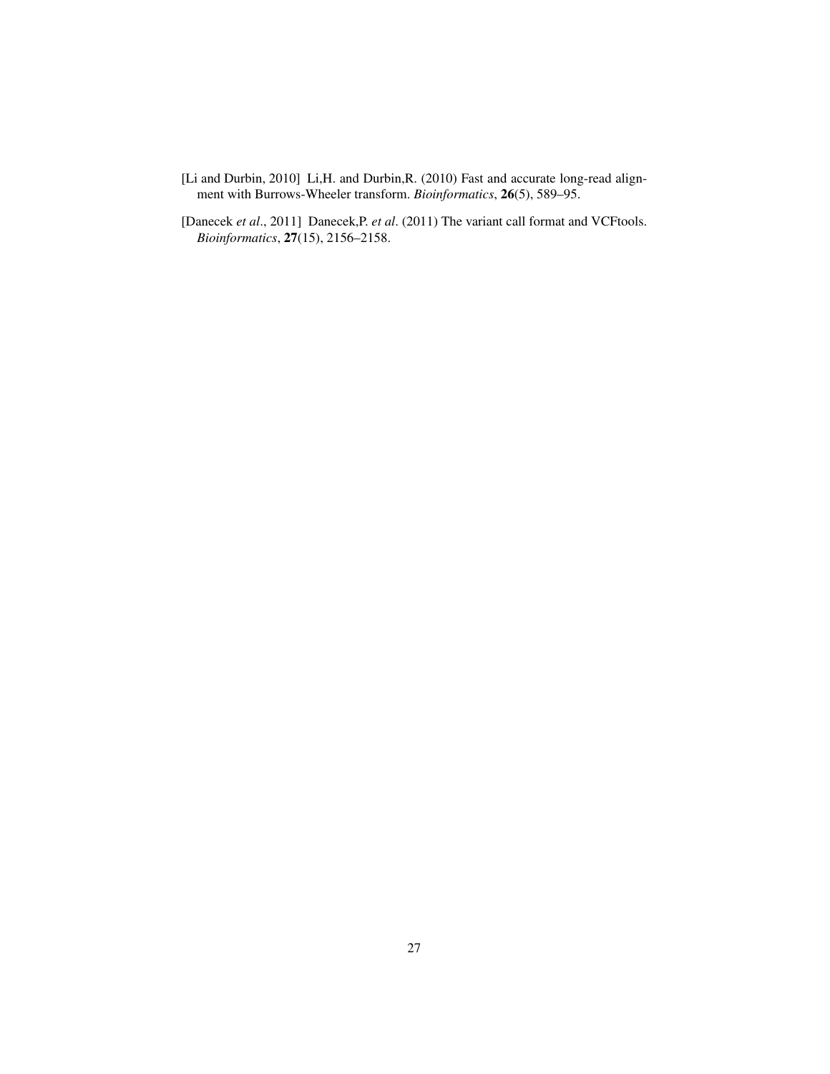- <span id="page-26-1"></span>[Li and Durbin, 2010] Li,H. and Durbin,R. (2010) Fast and accurate long-read alignment with Burrows-Wheeler transform. *Bioinformatics*, 26(5), 589–95.
- <span id="page-26-0"></span>[Danecek *et al*., 2011] Danecek,P. *et al*. (2011) The variant call format and VCFtools. *Bioinformatics*, 27(15), 2156–2158.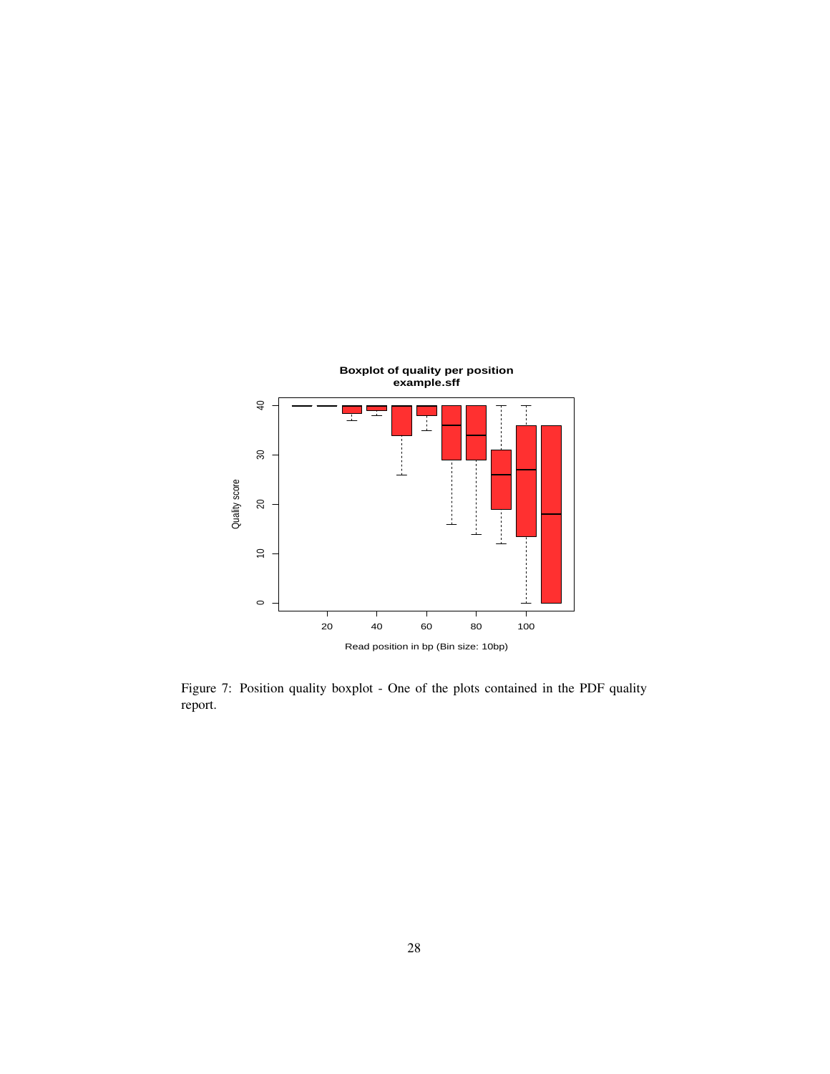

Figure 7: Position quality boxplot - One of the plots contained in the PDF quality report.